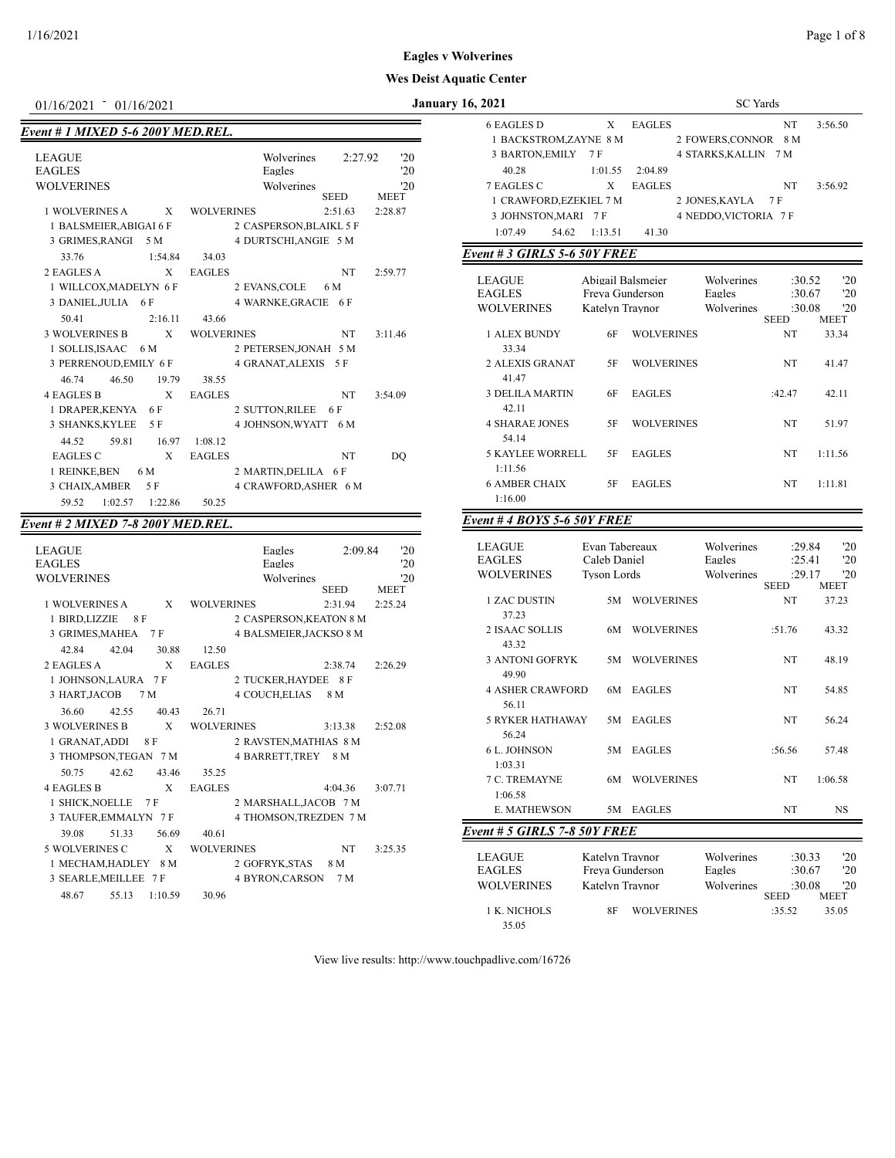## 1/16/2021 Page 1 of 8

## **Wes Deist Aquatic Center**

# *Event # 1 MIXED 5-6 200Y MED.REL.*

| <b>LEAGUE</b>           |              |                   | Wolverines              | 2:27.92     | '20         |
|-------------------------|--------------|-------------------|-------------------------|-------------|-------------|
| <b>EAGLES</b>           |              |                   | Eagles                  |             | '20         |
| <b>WOLVERINES</b>       |              |                   | Wolverines              |             | 20          |
|                         |              |                   |                         | <b>SEED</b> | <b>MEET</b> |
| <b>1 WOLVERINES A</b>   | X            | <b>WOLVERINES</b> |                         | 2:51.63     | 2:28.87     |
| 1 BALSMEIER, ABIGAI 6 F |              |                   | 2 CASPERSON, BLAIKL 5 F |             |             |
| 3 GRIMES, RANGI 5 M     |              |                   | 4 DURTSCHI, ANGIE 5 M   |             |             |
| 33.76                   | 1:54.84      | 34.03             |                         |             |             |
| 2 EAGLES A              | $\mathbf{x}$ | <b>EAGLES</b>     |                         | <b>NT</b>   | 2:59.77     |
| 1 WILLCOX, MADELYN 6 F  |              |                   | 2 EVANS, COLE           | 6 M         |             |
| 3 DANIEL, JULIA 6 F     |              |                   | 4 WARNKE, GRACIE 6 F    |             |             |
| 50.41                   | 2:16.11      | 43.66             |                         |             |             |
| 3 WOLVERINES B          | X            | <b>WOLVERINES</b> |                         | <b>NT</b>   | 3:11.46     |
| 1 SOLLIS, ISAAC 6 M     |              |                   | 2 PETERSEN, JONAH 5 M   |             |             |
| 3 PERRENOUD, EMILY 6 F  |              |                   | 4 GRANAT, ALEXIS 5 F    |             |             |
| 46.74<br>46.50          | 19.79        | 38.55             |                         |             |             |
| <b>4 EAGLES B</b>       | X            | <b>EAGLES</b>     |                         | <b>NT</b>   | 3:54.09     |
| 1 DRAPER, KENYA 6 F     |              |                   | 2 SUTTON, RILEE 6 F     |             |             |
| 3 SHANKS, KYLEE 5 F     |              |                   | 4 JOHNSON, WYATT        | 6 M         |             |
| 44.52<br>59.81          | 16.97        | 1:08.12           |                         |             |             |
| <b>EAGLES C</b>         | X            | <b>EAGLES</b>     |                         | NT          | DO          |
| 1 REINKE, BEN 6 M       |              |                   | 2 MARTIN, DELILA 6 F    |             |             |
| 3 CHAIX, AMBER          | 5 F          |                   | 4 CRAWFORD, ASHER 6 M   |             |             |
| 59.52<br>1:02.57        | 1:22.86      | 50.25             |                         |             |             |

## *Event # 2 MIXED 7-8 200Y MED.REL.*

| <b>LEAGUE</b>                     | Eagles                         | 2:09.84     | '20         |
|-----------------------------------|--------------------------------|-------------|-------------|
| <b>EAGLES</b>                     | Eagles                         |             | '20         |
| <b>WOLVERINES</b>                 | Wolverines                     |             | '20         |
|                                   |                                | <b>SEED</b> | <b>MEET</b> |
| 1 WOLVERINES A<br>X               | <b>WOLVERINES</b>              | 2:31.94     | 2:25.24     |
| 1 BIRD, LIZZIE 8 F                | 2 CASPERSON, KEATON 8 M        |             |             |
| 3 GRIMES, MAHEA 7 F               | <b>4 BALSMEIER, JACKSO 8 M</b> |             |             |
| 42.84 42.04 30.88                 | 12.50                          |             |             |
| 2 EAGLES A<br>X                   | <b>EAGLES</b>                  | 2:38.74     | 2:26.29     |
| 1 JOHNSON, LAURA 7 F              | 2 TUCKER, HAYDEE 8 F           |             |             |
| 3 HART, JACOB 7 M                 | 4 COUCH,ELIAS                  | 8 M         |             |
| 36.60<br>42.55<br>40.43           | 26.71                          |             |             |
| 3 WOLVERINES B X                  | <b>WOLVERINES</b>              | 3:13.38     | 2:52.08     |
| 1 GRANAT, ADDI 8 F                | 2 RAVSTEN, MATHIAS 8 M         |             |             |
| 3 THOMPSON,TEGAN 7 M              | 4 BARRETT, TREY 8 M            |             |             |
| 50.75<br>42.62 43.46              | 35.25                          |             |             |
| X<br>4 EAGLES B                   | <b>EAGLES</b>                  | 4:04.36     | 3:07.71     |
| 1 SHICK, NOELLE 7 F               | 2 MARSHALL, JACOB 7 M          |             |             |
| 3 TAUFER, EMMALYN 7 F             | 4 THOMSON, TREZDEN 7 M         |             |             |
| 51.33<br>56.69<br>39.08           | 40.61                          |             |             |
| 5 WOLVERINES C X                  | <b>WOLVERINES</b>              | <b>NT</b>   | 3:25.35     |
| 1 MECHAM,HADLEY 8 M               | 2 GOFRYK, STAS 8 M             |             |             |
| 3 SEARLE, MEILLEE 7 F             | 4 BYRON,CARSON                 | 7 M         |             |
| 55.13<br>$1:10.59$ 30.96<br>48.67 |                                |             |             |

| <b>January 16, 2021</b><br>01/16/2021 01/16/2021 |   |                   |                         |             |                    | SC Yards                             |       |         |               |                      |    |         |
|--------------------------------------------------|---|-------------------|-------------------------|-------------|--------------------|--------------------------------------|-------|---------|---------------|----------------------|----|---------|
| ent # 1 MIXED 5-6 200Y MED.REL.                  |   |                   |                         |             |                    | 6 EAGLES D<br>1 BACKSTROM,ZAYNE 8 M  |       |         | <b>EAGLES</b> | 2 FOWERS, CONNOR 8 M | NT | 3:56.50 |
| LEAGUE                                           |   |                   | Wolverines              | 2:27.92     | '20                | 3 BARTON, EMILY                      |       | 7 F     |               | 4 STARKS, KALLIN 7 M |    |         |
| EAGLES                                           |   |                   | Eagles                  |             | '20                | 40.28                                |       | 1:01.55 | 2:04.89       |                      |    |         |
| <b>WOLVERINES</b>                                |   |                   | Wolverines              | <b>SEED</b> | '20<br><b>MEET</b> | 7 EAGLES C<br>1 CRAWFORD,EZEKIEL 7 M |       | X       | <b>EAGLES</b> | 2 JONES, KAYLA 7 F   | NT | 3:56.92 |
| <b>1 WOLVERINES A</b>                            | X | <b>WOLVERINES</b> |                         | 2:51.63     | 2:28.87            | 3 JOHNSTON, MARI 7 F                 |       |         |               | 4 NEDDO.VICTORIA 7 F |    |         |
| 1 BALSMEIER, ABIGAI 6 F                          |   |                   | 2 CASPERSON, BLAIKL 5 F |             |                    | 1:07.49                              | 54.62 | 1:13.51 | 41.30         |                      |    |         |

## *Event # 3 GIRLS 5-6 50Y FREE*

| LEAGUE<br><b>EAGLES</b><br><b>WOLVERINES</b> | Katelyn Traynor | Abigail Balsmeier<br>Freva Gunderson | Wolverines<br>Eagles<br>Wolverines | :30.52<br>:30.67<br>:30.08 | $20^{\circ}$<br>'20<br>20 |
|----------------------------------------------|-----------------|--------------------------------------|------------------------------------|----------------------------|---------------------------|
| 1 ALEX BUNDY                                 | 6F              | <b>WOLVERINES</b>                    |                                    | <b>SEED</b><br>NT          | <b>MEET</b><br>33.34      |
| 33.34<br>2 ALEXIS GRANAT                     | 5F              | <b>WOLVERINES</b>                    |                                    | NT                         | 41.47                     |
| 41.47<br><b>3 DELILA MARTIN</b>              | 6F              | <b>EAGLES</b>                        |                                    | :42.47                     | 42.11                     |
| 42.11<br><b>4 SHARAE JONES</b>               | 5F              | <b>WOLVERINES</b>                    |                                    | <b>NT</b>                  | 51.97                     |
| 54.14<br><b>5 KAYLEE WORRELL</b>             | 5F              | <b>EAGLES</b>                        |                                    | <b>NT</b>                  | 1:11.56                   |
| 1:11.56<br><b>6 AMBER CHAIX</b>              | 5F              | <b>EAGLES</b>                        |                                    | <b>NT</b>                  | 1:11.81                   |
| 1:16.00                                      |                 |                                      |                                    |                            |                           |

## *Event # 4 BOYS 5-6 50Y FREE*

| <b>LEAGUE</b><br><b>EAGLES</b>                      | Caleb Daniel | Evan Tabereaux                                        | Wolverines<br>Eagles               |             | :29.84<br>:25.41           | '20<br>'20        |
|-----------------------------------------------------|--------------|-------------------------------------------------------|------------------------------------|-------------|----------------------------|-------------------|
| <b>WOLVERINES</b>                                   | Tyson Lords  |                                                       | Wolverines                         | <b>SEED</b> | :29.17                     | 20<br><b>MEET</b> |
| <b>1 ZAC DUSTIN</b><br>37.23                        | 5M           | <b>WOLVERINES</b>                                     |                                    | NT          |                            | 37.23             |
| 2 ISAAC SOLLIS<br>43.32                             | 6M           | <b>WOLVERINES</b>                                     |                                    | :51.76      |                            | 43.32             |
| <b>3 ANTONI GOFRYK</b><br>49.90                     | 5M           | <b>WOLVERINES</b>                                     |                                    | <b>NT</b>   |                            | 48.19             |
| <b>4 ASHER CRAWFORD</b><br>56.11                    | 6M           | <b>EAGLES</b>                                         |                                    | <b>NT</b>   |                            | 54.85             |
| <b>5 RYKER HATHAWAY</b><br>56.24                    | 5M           | <b>EAGLES</b>                                         |                                    | <b>NT</b>   |                            | 56.24             |
| <b>6 L. JOHNSON</b><br>1:03.31                      | 5M           | <b>EAGLES</b>                                         |                                    | :56.56      |                            | 57.48             |
| <b>7 C. TREMAYNE</b><br>1:06.58                     | 6M           | <b>WOLVERINES</b>                                     |                                    | <b>NT</b>   |                            | 1:06.58           |
| <b>E. MATHEWSON</b>                                 | 5M           | <b>EAGLES</b>                                         |                                    | <b>NT</b>   |                            | <b>NS</b>         |
| Event # 5 GIRLS 7-8 50Y FREE                        |              |                                                       |                                    |             |                            |                   |
| <b>LEAGUE</b><br><b>EAGLES</b><br><b>WOLVERINES</b> |              | Katelyn Traynor<br>Freva Gunderson<br>Katelyn Traynor | Wolverines<br>Eagles<br>Wolverines |             | :30.33<br>:30.67<br>:30.08 | '20<br>'20<br>'20 |
|                                                     |              |                                                       |                                    | <b>SEED</b> |                            | <b>MEET</b>       |

1 K. NICHOLS 8F WOLVERINES :35.52 35.05

View live results: http://www.touchpadlive.com/16726

35.05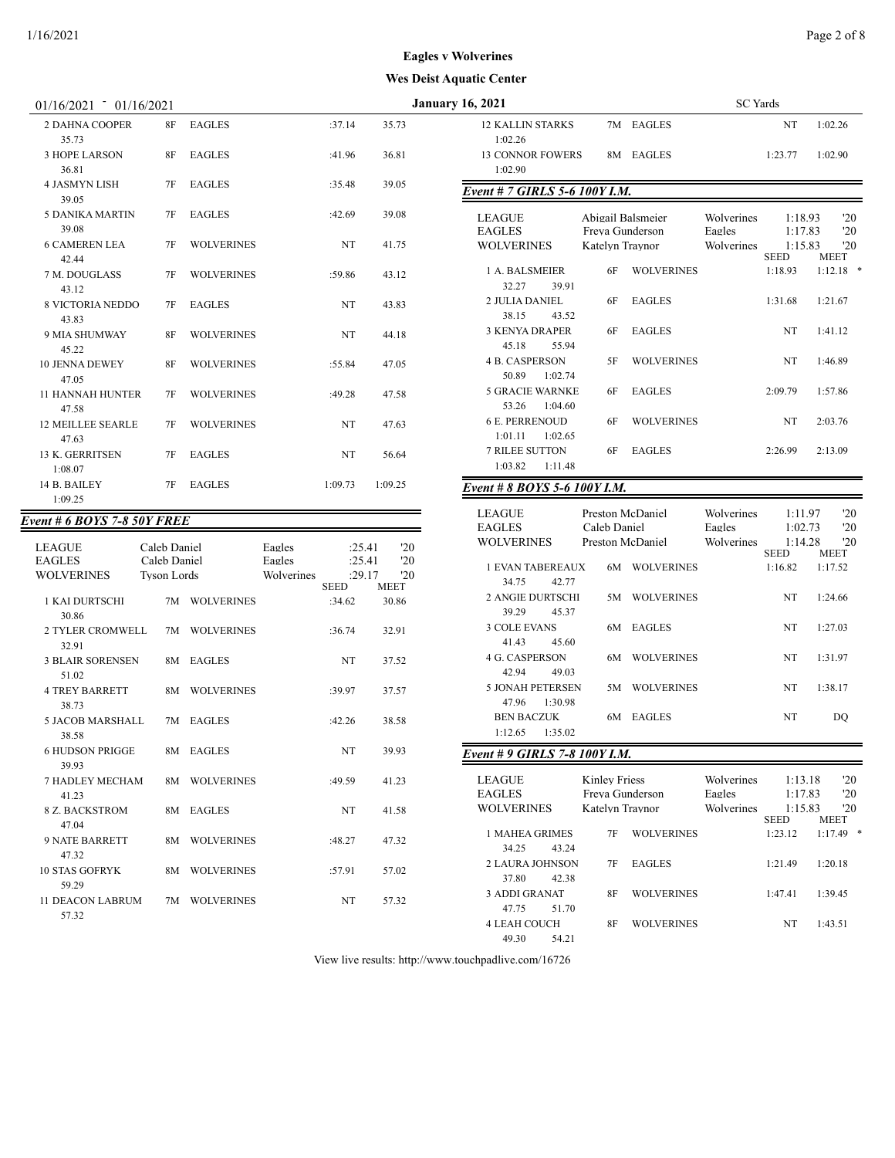| $01/16/2021 - 01/16/2021$          |                                    |                   |                      |                                 |                           | <b>January 16, 2021</b>                                                          | <b>SC</b> Yards          |
|------------------------------------|------------------------------------|-------------------|----------------------|---------------------------------|---------------------------|----------------------------------------------------------------------------------|--------------------------|
| <b>2 DAHNA COOPER</b><br>35.73     | 8F                                 | <b>EAGLES</b>     |                      | :37.14                          | 35.73                     | 7M EAGLES<br><b>12 KALLIN STARKS</b><br>1:02.26                                  |                          |
| 3 HOPE LARSON<br>36.81             | 8F                                 | <b>EAGLES</b>     |                      | :41.96                          | 36.81                     | <b>13 CONNOR FOWERS</b><br>8M EAGLES<br>1:02.90                                  | 1:2                      |
| <b>4 JASMYN LISH</b><br>39.05      | 7F                                 | <b>EAGLES</b>     |                      | :35.48                          | 39.05                     | Event # 7 GIRLS 5-6 100Y I.M.                                                    |                          |
| <b>5 DANIKA MARTIN</b><br>39.08    | 7F                                 | <b>EAGLES</b>     |                      | :42.69                          | 39.08                     | <b>LEAGUE</b><br>Abigail Balsmeier<br><b>EAGLES</b><br>Eagles<br>Freva Gunderson | Wolverines               |
| <b>6 CAMEREN LEA</b><br>42.44      | 7F                                 | <b>WOLVERINES</b> |                      | NT                              | 41.75                     | <b>WOLVERINES</b><br>Katelyn Travnor                                             | Wolverines<br><b>SEI</b> |
| 7 M. DOUGLASS<br>43.12             | 7F                                 | <b>WOLVERINES</b> |                      | :59.86                          | 43.12                     | 1 A. BALSMEIER<br>6F<br><b>WOLVERINES</b><br>32.27<br>39.91                      | 1:1                      |
| <b>8 VICTORIA NEDDO</b><br>43.83   | 7F                                 | <b>EAGLES</b>     |                      | NT                              | 43.83                     | 2 JULIA DANIEL<br><b>EAGLES</b><br>6F<br>38.15<br>43.52                          | 1:3                      |
| 9 MIA SHUMWAY<br>45.22             | 8F                                 | <b>WOLVERINES</b> |                      | NT                              | 44.18                     | <b>3 KENYA DRAPER</b><br><b>EAGLES</b><br>6F<br>55.94<br>45.18                   |                          |
| 10 JENNA DEWEY<br>47.05            | 8F                                 | <b>WOLVERINES</b> |                      | :55.84                          | 47.05                     | <b>4 B. CASPERSON</b><br>5F<br><b>WOLVERINES</b><br>50.89<br>1:02.74             |                          |
| <b>11 HANNAH HUNTER</b><br>47.58   | 7F                                 | <b>WOLVERINES</b> |                      | :49.28                          | 47.58                     | <b>5 GRACIE WARNKE</b><br><b>EAGLES</b><br>6F<br>53.26<br>1:04.60                | 2:0                      |
| <b>12 MEILLEE SEARLE</b><br>47.63  | 7F                                 | <b>WOLVERINES</b> |                      | NT                              | 47.63                     | <b>6 E. PERRENOUD</b><br><b>WOLVERINES</b><br>6F<br>1:01.11<br>1:02.65           |                          |
| 13 K. GERRITSEN<br>1:08.07         | 7F                                 | <b>EAGLES</b>     |                      | NT                              | 56.64                     | 7 RILEE SUTTON<br>6F<br><b>EAGLES</b><br>1:03.82<br>1:11.48                      | 2:2                      |
| 14 B. BAILEY<br>1:09.25            | 7F                                 | <b>EAGLES</b>     |                      | 1:09.73                         | 1:09.25                   | Event # 8 BOYS 5-6 100Y I.M.                                                     |                          |
| <b>Event # 6 BOYS 7-8 50Y FREE</b> |                                    |                   |                      |                                 |                           | <b>LEAGUE</b><br>Preston McDaniel                                                | Wolverines               |
|                                    |                                    |                   |                      |                                 |                           | <b>EAGLES</b><br>Caleb Daniel<br>Eagles                                          |                          |
| <b>LEAGUE</b>                      | Caleb Daniel                       |                   | Eagles               | :25.41                          | '20                       | <b>WOLVERINES</b><br>Preston McDaniel                                            | Wolverines<br><b>SEI</b> |
| <b>EAGLES</b><br><b>WOLVERINES</b> | Caleb Daniel<br><b>Tyson Lords</b> |                   | Eagles<br>Wolverines | :25.41<br>:29.17<br><b>SEED</b> | '20<br>'20<br><b>MEET</b> | <b>1 EVAN TABEREAUX</b><br>6M WOLVERINES<br>34.75<br>42.77                       | 1:1                      |
| 1 KAI DURTSCHI<br>30.86            |                                    | 7M WOLVERINES     |                      | :34.62                          | 30.86                     | 2 ANGIE DURTSCHI<br>5M WOLVERINES<br>39.29<br>45.37                              |                          |
| 2 TYLER CROMWELL<br>32.91          |                                    | 7M WOLVERINES     |                      | :36.74                          | 32.91                     | <b>3 COLE EVANS</b><br>6M EAGLES<br>45.60<br>41.43                               |                          |
| <b>3 BLAIR SORENSEN</b><br>51.02   |                                    | 8M EAGLES         |                      | NT                              | 37.52                     | <b>4 G. CASPERSON</b><br>6M WOLVERINES<br>42.94<br>49.03                         |                          |
| <b>4 TREY BARRETT</b><br>38.73     |                                    | 8M WOLVERINES     |                      | :39.97                          | 37.57                     | 5 JONAH PETERSEN<br>5M WOLVERINES<br>47.96<br>1:30.98                            |                          |

5 JACOB MARSHALL 7M EAGLES :42.26 38.58

6 HUDSON PRIGGE 8M EAGLES NT 39.93

7 HADLEY MECHAM 8M WOLVERINES :49.59 41.23

8 Z. BACKSTROM 8M EAGLES NT 41.58

9 NATE BARRETT 8M WOLVERINES :48.27 47.32

10 STAS GOFRYK 8M WOLVERINES :57.91 57.02

11 DEACON LABRUM 7M WOLVERINES NT 57.32

38.58

39.93

41.23

47.04

47.32

59.29

57.32

| iauv Utniti                                      |                                  |                   |                      |                        |                     |
|--------------------------------------------------|----------------------------------|-------------------|----------------------|------------------------|---------------------|
| 16, 2021                                         |                                  |                   | <b>SC</b> Yards      |                        |                     |
| <b>12 KALLIN STARKS</b><br>1:02.26               | 7M                               | <b>EAGLES</b>     |                      | NT                     | 1:02.26             |
| <b>13 CONNOR FOWERS</b><br>1:02.90               | 8M                               | <b>EAGLES</b>     |                      | 1:23.77                | 1:02.90             |
| Event # 7 GIRLS 5-6 100Y I.M.                    |                                  |                   |                      |                        |                     |
| LEAGUE                                           | Abigail Balsmeier                |                   | Wolverines           | 1:18.93                | '20                 |
| <b>EAGLES</b>                                    | Freya Gunderson                  |                   | Eagles               | 1:17.83                | '20                 |
| WOLVERINES                                       | Katelyn Traynor                  |                   | Wolverines           | 1:15.83                | '20                 |
|                                                  |                                  |                   |                      | <b>SEED</b>            | MEET                |
| 1 A. BALSMEIER<br>32.27<br>39.91                 | 6F                               | <b>WOLVERINES</b> |                      | 1:18.93                | 1:12.18             |
| 2 JULIA DANIEL<br>38.15<br>43.52                 | 6F                               | <b>EAGLES</b>     |                      | 1:31.68                | 1:21.67             |
| <b>3 KENYA DRAPER</b><br>45.18<br>55.94          | 6F                               | <b>EAGLES</b>     |                      | NT                     | 1:41.12             |
| <b>4 B. CASPERSON</b><br>50.89<br>1:02.74        | 5F                               | <b>WOLVERINES</b> |                      | NT                     | 1:46.89             |
| <b>5 GRACIE WARNKE</b><br>53.26<br>1:04.60       | 6F                               | <b>EAGLES</b>     |                      | 2:09.79                | 1:57.86             |
| <b>6 E. PERRENOUD</b><br>1:01.11<br>1:02.65      | 6F                               | <b>WOLVERINES</b> |                      | NT                     | 2:03.76             |
| <b>7 RILEE SUTTON</b><br>1:03.82<br>1:11.48      | 6F                               | <b>EAGLES</b>     |                      | 2:26.99                | 2:13.09             |
| Event # 8 BOYS 5-6 100Y I.M.                     |                                  |                   |                      |                        |                     |
|                                                  |                                  |                   |                      |                        |                     |
| LEAGUE<br><b>EAGLES</b>                          | Preston McDaniel<br>Caleb Daniel |                   | Wolverines<br>Eagles | 1:11.97<br>1:02.73     | $20^{\circ}$<br>'20 |
| <b>WOLVERINES</b>                                | Preston McDaniel                 |                   | Wolverines           | 1:14.28<br><b>SEED</b> | '20<br>MEET         |
| 1 EVAN TABEREAUX<br>34.75<br>42.77               | 6M                               | <b>WOLVERINES</b> |                      | 1:16.82                | 1:17.52             |
| <b>2 ANGIE DURTSCHI</b><br>39.29<br>45.37        | 5M                               | <b>WOLVERINES</b> |                      | NT                     | 1:24.66             |
| <b>3 COLE EVANS</b><br>41.43<br>45.60            | 6M                               | <b>EAGLES</b>     |                      | NT                     | 1:27.03             |
| <b>4 G. CASPERSON</b><br>42.94<br>49.03          | 6M                               | <b>WOLVERINES</b> |                      | NT                     | 1:31.97             |
| 5 JONAH PETERSEN<br>1:30.98                      | 5M                               | <b>WOLVERINES</b> |                      | NT                     | 1:38.17             |
| 47.96<br><b>BEN BACZUK</b><br>1:35.02<br>1:12.65 | 6M                               | <b>EAGLES</b>     |                      | NT                     | DQ                  |
|                                                  |                                  |                   |                      |                        |                     |
| Event # 9 GIRLS 7-8 100Y I.M.                    |                                  |                   |                      |                        |                     |
| LEAGUE                                           | <b>Kinley Friess</b>             |                   | Wolverines           | 1:13.18                | '20                 |
| EAGLES                                           | Freva Gunderson                  |                   | Eagles               | 1:17.83                | '20                 |
| <b>WOLVERINES</b>                                | Katelyn Traynor                  |                   | Wolverines           | 1:15.83<br>SEED        | '20<br>MEET         |
| 1 MAHEA GRIMES<br>34.25<br>43.24                 | 7F                               | <b>WOLVERINES</b> |                      | 1:23.12                | $1:17.49$ *         |
| 2 LAURA JOHNSON<br>37.80<br>42.38                | 7F                               | <b>EAGLES</b>     |                      | 1:21.49                | 1:20.18             |

3 ADDI GRANAT 8F WOLVERINES 1:47.41 1:39.45

4 LEAH COUCH 8F WOLVERINES NT 1:43.51

View live results: http://www.touchpadlive.com/16726

47.75 51.70

49.30 54.21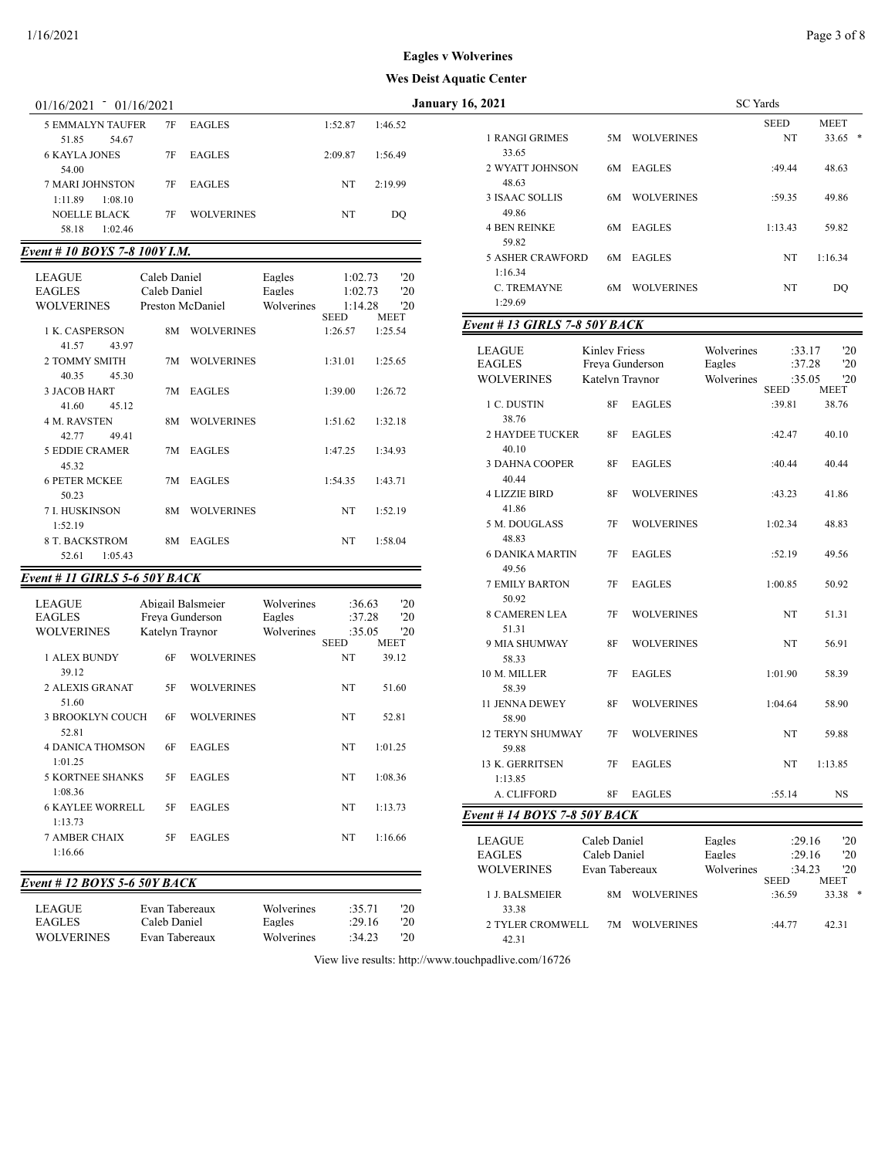| 01/10/2021                                             | 01/10/2021                     |                   |                  |                       |             |
|--------------------------------------------------------|--------------------------------|-------------------|------------------|-----------------------|-------------|
| 5 EMMALYN TAUFER                                       | 7F                             | <b>EAGLES</b>     |                  | 1:52.87               | 1:46.52     |
| 51.85<br>54.67<br><b>6 KAYLA JONES</b>                 | 7F                             | <b>EAGLES</b>     |                  | 2:09.87               | 1:56.49     |
| 54.00<br>7 MARI JOHNSTON                               | 7F                             | <b>EAGLES</b>     |                  | NT                    | 2:19.99     |
| 1:11.89<br>1:08.10<br>NOELLE BLACK<br>58.18<br>1:02.46 | 7F                             | <b>WOLVERINES</b> |                  | NT                    | DQ          |
| Event # 10 BOYS 7-8 100Y I.M.                          |                                |                   |                  |                       |             |
|                                                        |                                |                   |                  |                       |             |
| LEAGUE<br><b>EAGLES</b>                                | Caleb Daniel<br>Caleb Daniel   |                   | Eagles<br>Eagles | 1:02.73<br>1:02.73    | '20<br>'20  |
| <b>WOLVERINES</b>                                      | Preston McDaniel               |                   | Wolverines       | 1:14.28               | '20         |
|                                                        |                                |                   |                  | <b>SEED</b>           | MEET        |
| 1 K. CASPERSON<br>41.57<br>43.97                       | 8M                             | <b>WOLVERINES</b> |                  | 1:26.57               | 1:25.54     |
| 2 TOMMY SMITH<br>40.35<br>45.30                        | 7M                             | <b>WOLVERINES</b> |                  | 1:31.01               | 1:25.65     |
| 3 JACOB HART<br>41.60<br>45.12                         | 7M                             | <b>EAGLES</b>     |                  | 1:39.00               | 1:26.72     |
| <b>4 M. RAVSTEN</b><br>42.77<br>49.41                  | 8M                             | <b>WOLVERINES</b> |                  | 1:51.62               | 1:32.18     |
| 5 EDDIE CRAMER<br>45.32                                | 7M                             | <b>EAGLES</b>     |                  | 1:47.25               | 1:34.93     |
| <b>6 PETER MCKEE</b><br>50.23                          | 7M                             | <b>EAGLES</b>     |                  | 1:54.35               | 1:43.71     |
| 7 I. HUSKINSON<br>1:52.19                              | 8M                             | <b>WOLVERINES</b> |                  | NT                    | 1:52.19     |
| 8 T. BACKSTROM<br>52.61<br>1:05.43                     | 8М                             | <b>EAGLES</b>     |                  | NT                    | 1:58.04     |
| Event # 11 GIRLS 5-6 50Y BACK                          |                                |                   |                  |                       |             |
|                                                        |                                |                   |                  |                       |             |
| LEAGUE                                                 | Abigail Balsmeier              |                   | Wolverines       | :36.63                | '20         |
| <b>EAGLES</b>                                          | Freya Gunderson                |                   | Eagles           | :37.28                | '20         |
| <b>WOLVERINES</b>                                      | Katelyn Traynor                |                   | Wolverines       | :35.05<br><b>SEED</b> | '20<br>MEET |
| 1 ALEX BUNDY<br>39.12                                  | 6F                             | <b>WOLVERINES</b> |                  | NT                    | 39.12       |
| 2 ALEXIS GRANAT<br>51.60                               | 5F                             | <b>WOLVERINES</b> |                  | NT                    | 51.60       |
| 3 BROOKLYN COUCH<br>52.81                              | 6F                             | <b>WOLVERINES</b> |                  | NT                    | 52.81       |
| <b>4 DANICA THOMSON</b><br>1:01.25                     | 6F                             | <b>EAGLES</b>     |                  | NT                    | 1:01.25     |
| 5 KORTNEE SHANKS<br>1:08.36                            | 5F                             | <b>EAGLES</b>     |                  | NT                    | 1:08.36     |
| <b>6 KAYLEE WORRELL</b><br>1:13.73                     | 5F                             | <b>EAGLES</b>     |                  | NT                    | 1:13.73     |
| <b>7 AMBER CHAIX</b><br>1:16.66                        | 5F                             | <b>EAGLES</b>     |                  | NT                    | 1:16.66     |
| Event # 12 BOYS 5-6 50Y BACK                           |                                |                   |                  |                       |             |
|                                                        |                                |                   | Wolverines       |                       |             |
| <b>LEAGUE</b><br><b>EAGLES</b>                         | Evan Tabereaux<br>Caleb Daniel |                   | Eagles           | :35.71<br>:29.16      | '20<br>20   |
| <b>WOLVERINES</b>                                      | Evan Tabereaux                 |                   | Wolverines       | :34.23                | 20          |

| 01/16/2021 01/16/2021       |                   |                   |            |             |         |             | <b>January 16, 2021</b>       |                      |                   | <b>SC</b> Yards |                       |             |
|-----------------------------|-------------------|-------------------|------------|-------------|---------|-------------|-------------------------------|----------------------|-------------------|-----------------|-----------------------|-------------|
| <b>5 EMMALYN TAUFER</b>     | 7F                | <b>EAGLES</b>     |            | 1:52.87     | 1:46.52 |             |                               |                      |                   |                 | <b>SEED</b>           | <b>MEET</b> |
| 54.67<br>51.85              |                   |                   |            |             |         |             | 1 RANGI GRIMES                |                      | 5M WOLVERINES     |                 | NT                    | $33.65$ *   |
|                             |                   |                   |            |             |         |             | 33.65                         |                      |                   |                 |                       |             |
| <b>6 KAYLA JONES</b>        | 7F                | <b>EAGLES</b>     |            | 2:09.87     | 1:56.49 |             | 2 WYATT JOHNSON               |                      | 6M EAGLES         |                 | :49.44                | 48.63       |
| 54.00                       |                   |                   |            |             |         |             | 48.63                         |                      |                   |                 |                       |             |
| 7 MARI JOHNSTON             | 7F                | <b>EAGLES</b>     |            | NT          | 2:19.99 |             | <b>3 ISAAC SOLLIS</b>         | 6M                   | <b>WOLVERINES</b> |                 | :59.35                | 49.86       |
| 1:11.89<br>1:08.10          |                   |                   |            |             |         |             | 49.86                         |                      |                   |                 |                       |             |
| <b>NOELLE BLACK</b>         | 7F                | <b>WOLVERINES</b> |            | NT          |         | DQ          |                               |                      |                   |                 |                       |             |
| 58.18<br>1:02.46            |                   |                   |            |             |         |             | <b>4 BEN REINKE</b>           |                      | 6M EAGLES         |                 | 1:13.43               | 59.82       |
| ent # 10 BOYS 7-8 100Y I.M. |                   |                   |            |             |         |             | 59.82                         |                      |                   |                 |                       |             |
|                             |                   |                   |            |             |         |             | <b>5 ASHER CRAWFORD</b>       |                      | 6M EAGLES         |                 | NT                    | 1:16.34     |
| LEAGUE                      | Caleb Daniel      |                   | Eagles     | 1:02.73     |         | '20         | 1:16.34                       |                      |                   |                 |                       |             |
| EAGLES                      | Caleb Daniel      |                   | Eagles     | 1:02.73     |         | '20         | C. TREMAYNE                   |                      | 6M WOLVERINES     |                 | NT                    | DO          |
| WOLVERINES                  |                   | Preston McDaniel  | Wolverines | 1:14.28     |         | '20         | 1:29.69                       |                      |                   |                 |                       |             |
|                             |                   |                   |            | <b>SEED</b> |         | <b>MEET</b> | Event # 13 GIRLS 7-8 50Y BACK |                      |                   |                 |                       |             |
| 1 K. CASPERSON              |                   | 8M WOLVERINES     |            | 1:26.57     |         | 1:25.54     |                               |                      |                   |                 |                       |             |
| 43.97<br>41.57              |                   |                   |            |             |         |             | <b>LEAGUE</b>                 | <b>Kinley Friess</b> |                   | Wolverines      | :33.17                | '20         |
| 2 TOMMY SMITH               |                   | 7M WOLVERINES     |            | 1:31.01     |         | 1:25.65     | <b>EAGLES</b>                 | Freva Gunderson      |                   | Eagles          | :37.28                | '20         |
| 40.35<br>45.30              |                   |                   |            |             |         |             | <b>WOLVERINES</b>             | Katelyn Traynor      |                   | Wolverines      | :35.05                | '20         |
| <b>3 JACOB HART</b>         |                   | 7M EAGLES         |            | 1:39.00     |         | 1:26.72     |                               |                      |                   |                 | <b>SEED</b>           | <b>MEET</b> |
| 41.60<br>45.12              |                   |                   |            |             |         |             | 1 C. DUSTIN                   | 8F                   | <b>EAGLES</b>     |                 | :39.81                | 38.76       |
| 4 M. RAVSTEN                |                   | 8M WOLVERINES     |            | 1:51.62     |         | 1:32.18     | 38.76                         |                      |                   |                 |                       |             |
| 42.77<br>49.41              |                   |                   |            |             |         |             | <b>2 HAYDEE TUCKER</b>        | 8F                   | <b>EAGLES</b>     |                 | :42.47                | 40.10       |
| <b>5 EDDIE CRAMER</b>       |                   | 7M EAGLES         |            | 1:47.25     | 1:34.93 |             | 40.10                         |                      |                   |                 |                       |             |
| 45.32                       |                   |                   |            |             |         |             | 3 DAHNA COOPER                | 8F                   | <b>EAGLES</b>     |                 | :40.44                | 40.44       |
| <b>6 PETER MCKEE</b>        |                   | 7M EAGLES         |            | 1:54.35     | 1:43.71 |             | 40.44                         |                      |                   |                 |                       |             |
| 50.23                       |                   |                   |            |             |         |             | <b>4 LIZZIE BIRD</b>          | 8F                   | <b>WOLVERINES</b> |                 | :43.23                | 41.86       |
| 7 I. HUSKINSON              | 8М                | <b>WOLVERINES</b> |            | NT          |         | 1:52.19     | 41.86                         |                      |                   |                 |                       |             |
| 1:52.19                     |                   |                   |            |             |         |             | 5 M. DOUGLASS                 | 7F                   | <b>WOLVERINES</b> |                 | 1:02.34               | 48.83       |
| 8 T. BACKSTROM              |                   | 8M EAGLES         |            | NT          | 1:58.04 |             | 48.83                         |                      |                   |                 |                       |             |
| 52.61<br>1:05.43            |                   |                   |            |             |         |             | <b>6 DANIKA MARTIN</b>        | 7F                   | <b>EAGLES</b>     |                 | :52.19                | 49.56       |
|                             |                   |                   |            |             |         |             | 49.56                         |                      |                   |                 |                       |             |
| ent # 11 GIRLS 5-6 50Y BACK |                   |                   |            |             |         |             | <b>7 EMILY BARTON</b>         | 7F                   | <b>EAGLES</b>     |                 | 1:00.85               | 50.92       |
| LEAGUE                      | Abigail Balsmeier |                   | Wolverines | :36.63      |         | '20         | 50.92                         |                      |                   |                 |                       |             |
| EAGLES                      | Freya Gunderson   |                   | Eagles     | :37.28      |         | '20         | <b>8 CAMEREN LEA</b>          | 7F                   | <b>WOLVERINES</b> |                 | NT                    | 51.31       |
| WOLVERINES                  | Katelyn Traynor   |                   | Wolverines | :35.05      |         | '20         | 51.31                         |                      |                   |                 |                       |             |
|                             |                   |                   |            | <b>SEED</b> |         | <b>MEET</b> | 9 MIA SHUMWAY                 | 8F                   | <b>WOLVERINES</b> |                 | NT                    | 56.91       |
| 1 ALEX BUNDY                | 6F                | <b>WOLVERINES</b> |            | NT          |         | 39.12       | 58.33                         |                      |                   |                 |                       |             |
| 39.12                       |                   |                   |            |             |         |             | 10 M. MILLER                  | 7F                   | <b>EAGLES</b>     |                 | 1:01.90               | 58.39       |
| 2 ALEXIS GRANAT             | 5F                | <b>WOLVERINES</b> |            | NT          |         | 51.60       | 58.39                         |                      |                   |                 |                       |             |
| 51.60                       |                   |                   |            |             |         |             | 11 JENNA DEWEY                | 8F                   | <b>WOLVERINES</b> |                 | 1:04.64               | 58.90       |
| <b>3 BROOKLYN COUCH</b>     | 6F                | <b>WOLVERINES</b> |            | NT          |         | 52.81       | 58.90                         |                      |                   |                 |                       |             |
| 52.81                       |                   |                   |            |             |         |             | <b>12 TERYN SHUMWAY</b>       | 7F                   | <b>WOLVERINES</b> |                 | NT                    | 59.88       |
| <b>4 DANICA THOMSON</b>     | 6F                | <b>EAGLES</b>     |            | NT          |         | 1:01.25     | 59.88                         |                      |                   |                 |                       |             |
| 1:01.25                     |                   |                   |            |             |         |             | 13 K. GERRITSEN               | 7F                   | EAGLES            |                 | NT                    | 1:13.85     |
| <b>5 KORTNEE SHANKS</b>     | 5F                | <b>EAGLES</b>     |            | NT          |         | 1:08.36     | 1:13.85                       |                      |                   |                 |                       |             |
| 1:08.36                     |                   |                   |            |             |         |             | A. CLIFFORD                   | 8F                   | <b>EAGLES</b>     |                 | :55.14                | NS          |
| <b>6 KAYLEE WORRELL</b>     | 5F                | <b>EAGLES</b>     |            | NT          |         | 1:13.73     |                               |                      |                   |                 |                       |             |
| 1:13.73                     |                   |                   |            |             |         |             | Event # 14 BOYS 7-8 50Y BACK  |                      |                   |                 |                       |             |
| 7 AMBER CHAIX               |                   | <b>EAGLES</b>     |            | NT          |         | 1:16.66     |                               |                      |                   |                 |                       |             |
| 1:16.66                     | 5F                |                   |            |             |         |             | <b>LEAGUE</b>                 | Caleb Daniel         |                   | Eagles          | :29.16                | '20         |
|                             |                   |                   |            |             |         |             | <b>EAGLES</b>                 | Caleb Daniel         |                   | Eagles          | :29.16                | '20         |
|                             |                   |                   |            |             |         |             | <b>WOLVERINES</b>             | Evan Tabereaux       |                   | Wolverines      | :34.23<br><b>SEED</b> | '20<br>MEET |
| ent # 12 BOYS 5-6 50Y BACK  |                   |                   |            |             |         |             | 1 J. BALSMEIER                |                      | 8M WOLVERINES     |                 | :36.59                | $33.38$ *   |
| LEAGUE                      | Evan Tabereaux    |                   | Wolverines | :35.71      |         | '20         | 33.38                         |                      |                   |                 |                       |             |
| <b>EAGLES</b>               | Caleb Daniel      |                   | Eagles     | :29.16      |         | '20         | 2 TYLER CROMWELL              |                      | 7M WOLVERINES     |                 | :44.77                | 42.31       |
| WOLVERINES                  | Evan Tabereaux    |                   | Wolverines | :34.23      |         | '20         | 42.31                         |                      |                   |                 |                       |             |
|                             |                   |                   |            |             |         |             |                               |                      |                   |                 |                       |             |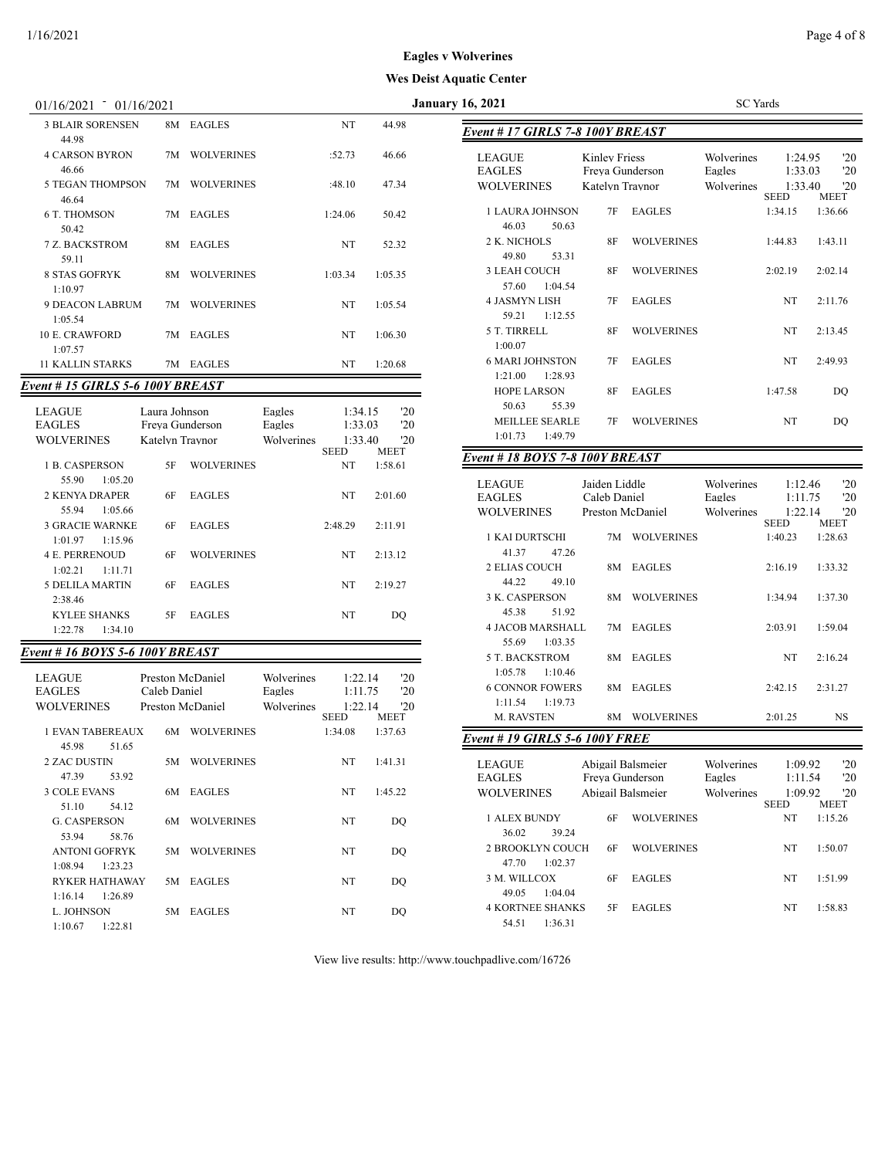| 01/16/2021<br>01/16/2021                                                                                    |                         |         |         | <b>January 16, 2021</b>                                             | <b>SC</b> Yards          |
|-------------------------------------------------------------------------------------------------------------|-------------------------|---------|---------|---------------------------------------------------------------------|--------------------------|
| <b>3 BLAIR SORENSEN</b><br>44.98                                                                            | 8M EAGLES               | NT      | 44.98   | Event # 17 GIRLS 7-8 100Y BREAST                                    |                          |
| <b>4 CARSON BYRON</b><br>46.66                                                                              | 7M WOLVERINES           | :52.73  | 46.66   | Kinley Friess<br><b>LEAGUE</b><br><b>EAGLES</b><br>Freva Gunderson  | Wolverines<br>Eagles     |
| <b>5 TEGAN THOMPSON</b><br>46.64                                                                            | 7M WOLVERINES           | :48.10  | 47.34   | <b>WOLVERINES</b><br>Katelyn Travnor                                | Wolverines<br><b>SEI</b> |
| 6 T. THOMSON<br>50.42                                                                                       | 7M EAGLES               | 1:24.06 | 50.42   | <b>1 LAURA JOHNSON</b><br><b>EAGLES</b><br>7F<br>46.03<br>50.63     | 1:3                      |
| 7 Z. BACKSTROM<br>59.11                                                                                     | 8M EAGLES               | NT      | 52.32   | 2 K. NICHOLS<br><b>WOLVERINES</b><br><b>8F</b><br>49.80<br>53.31    | 1:4                      |
| <b>8 STAS GOFRYK</b><br>1:10.97                                                                             | <b>WOLVERINES</b><br>8M | 1:03.34 | 1:05.35 | 3 LEAH COUCH<br><b>WOLVERINES</b><br>8F<br>1:04.54<br>57.60         | 2:0                      |
| 9 DEACON LABRUM<br>1:05.54                                                                                  | 7M WOLVERINES           | NT      | 1:05.54 | <b>4 JASMYN LISH</b><br><b>EAGLES</b><br>7F<br>1:12.55<br>59.21     |                          |
| <b>10 E. CRAWFORD</b><br>1:07.57                                                                            | 7M EAGLES               | NT      | 1:06.30 | 5 T. TIRRELL<br><b>WOLVERINES</b><br>8F<br>1:00.07                  |                          |
| <b>11 KALLIN STARKS</b><br>$\mu$ as $\sigma$ and $\sigma$ s $\sigma$ and $\sigma$ and $\sigma$ and $\sigma$ | 7M EAGLES               | NT      | 1:20.68 | <b>6 MARI JOHNSTON</b><br><b>EAGLES</b><br>7F<br>1:28.93<br>1:21.00 |                          |

## *Event # 15 GIRLS 5-6 100Y BREAST*

| <b>LEAGUE</b><br><b>EAGLES</b><br>WOLVERINES | Laura Johnson<br>Freva Gunderson<br>Katelyn Traynor |                   | Eagles<br>Eagles<br>Wolverines | 1:34.15<br>1:33.03<br>1:33.40 | '20<br>20<br>20        |
|----------------------------------------------|-----------------------------------------------------|-------------------|--------------------------------|-------------------------------|------------------------|
| 1 B. CASPERSON                               | 5F                                                  | <b>WOLVERINES</b> |                                | <b>SEED</b><br>NT             | <b>MEET</b><br>1:58.61 |
| 1:05.20<br>55.90<br>2 KENYA DRAPER           | 6F                                                  | <b>EAGLES</b>     |                                | NT                            | 2:01.60                |
| 55.94<br>1:05.66<br><b>3 GRACIE WARNKE</b>   | 6F                                                  | <b>EAGLES</b>     |                                | 2:48.29                       | 2:11.91                |
| 1:15.96<br>1:01.97<br><b>4 E. PERRENOUD</b>  | 6F                                                  | <b>WOLVERINES</b> |                                | NT                            | 2:13.12                |
| 1.1171<br>1:02.21<br>5 DELILA MARTIN         | 6F                                                  | <b>EAGLES</b>     |                                | NT                            | 2:19.27                |
| 2:38.46<br><b>KYLEE SHANKS</b>               | 5F                                                  | <b>EAGLES</b>     |                                | NT                            | DO                     |
| 1:34.10<br>1:22.78                           |                                                     |                   |                                |                               |                        |

## *Event # 16 BOYS 5-6 100Y BREAST*

| <b>LEAGUE</b><br><b>EAGLES</b><br><b>WOLVERINES</b> | Preston McDaniel<br>Caleb Daniel<br>Preston McDaniel |                   | Wolverines<br>Eagles<br>Wolverines | 1:22.14<br>1:11.75<br>1:22.14 | '20<br>'20<br>20 |
|-----------------------------------------------------|------------------------------------------------------|-------------------|------------------------------------|-------------------------------|------------------|
|                                                     |                                                      |                   |                                    | <b>SEED</b>                   | <b>MEET</b>      |
| 1 EVAN TAREREAUX                                    | 6M                                                   | <b>WOLVERINES</b> |                                    | 1:34.08                       | 1:37.63          |
| 45.98<br>51.65                                      |                                                      |                   |                                    |                               |                  |
| <b>2 ZAC DUSTIN</b>                                 | 5M                                                   | <b>WOLVERINES</b> |                                    | NT                            | 1:41.31          |
| 47.39<br>53.92                                      |                                                      |                   |                                    |                               |                  |
| <b>3 COLE EVANS</b>                                 | 6M                                                   | <b>EAGLES</b>     |                                    | NT                            | 1:45.22          |
| 51.10<br>54.12                                      |                                                      |                   |                                    |                               |                  |
| <b>G. CASPERSON</b>                                 | 6M                                                   | <b>WOLVERINES</b> |                                    | NT                            | DO               |
| 58.76<br>53.94                                      |                                                      |                   |                                    |                               |                  |
| <b>ANTONI GOFRYK</b>                                | 5M                                                   | <b>WOLVERINES</b> |                                    | NT                            | DO               |
| 1:08.94<br>1:23.23                                  |                                                      |                   |                                    |                               |                  |
| <b>RYKER HATHAWAY</b>                               | 5M                                                   | <b>EAGLES</b>     |                                    | NT                            | DO               |
| 1:16.14<br>1:26.89                                  |                                                      |                   |                                    |                               |                  |
| L. JOHNSON                                          | 5M                                                   | <b>EAGLES</b>     |                                    | NT                            | DO               |
| 1:10.67<br>1:22.81                                  |                                                      |                   |                                    |                               |                  |

| 16, 2021                                     |                                                     |                                        | <b>SC</b> Yards                    |                                              |                                           |
|----------------------------------------------|-----------------------------------------------------|----------------------------------------|------------------------------------|----------------------------------------------|-------------------------------------------|
| Event # 17 GIRLS 7-8 100Y BREAST             |                                                     |                                        |                                    |                                              |                                           |
| LEAGUE<br><b>EAGLES</b><br><b>WOLVERINES</b> | Kinley Friess<br>Freya Gunderson<br>Katelyn Traynor |                                        | Wolverines<br>Eagles<br>Wolverines | 1:24.95<br>1:33.03<br>1:33.40                | '20<br>'20<br>'20                         |
| 1 LAURA JOHNSON<br>46.03<br>50.63            | 7F                                                  | <b>EAGLES</b>                          |                                    | <b>SEED</b><br>1:34.15                       | <b>MEET</b><br>1:36.66                    |
| 2 K. NICHOLS<br>49.80<br>53.31               | 8F                                                  | <b>WOLVERINES</b>                      |                                    | 1:44.83                                      | 1:43.11                                   |
| 3 LEAH COUCH<br>1:04.54<br>57.60             | 8F                                                  | <b>WOLVERINES</b>                      |                                    | 2:02.19                                      | 2:02.14                                   |
| <b>4 JASMYN LISH</b><br>59.21<br>1:12.55     | 7F                                                  | <b>EAGLES</b>                          |                                    | NT                                           | 2:11.76                                   |
| 5 T. TIRRELL<br>1:00.07                      | 8F                                                  | <b>WOLVERINES</b>                      |                                    | NT                                           | 2:13.45                                   |
| 6 MARI JOHNSTON<br>1:21.00<br>1:28.93        | 7F                                                  | <b>EAGLES</b>                          |                                    | NT                                           | 2:49.93                                   |
| <b>HOPE LARSON</b><br>50.63<br>55.39         | 8F                                                  | <b>EAGLES</b>                          |                                    | 1:47.58                                      | DO                                        |
| <b>MEILLEE SEARLE</b><br>1:01.73<br>1:49.79  | 7F                                                  | <b>WOLVERINES</b>                      |                                    | NT                                           | DO                                        |
| Event # 18 BOYS 7-8 100Y BREAST              |                                                     |                                        |                                    |                                              |                                           |
| LEAGUE<br><b>EAGLES</b><br>WOLVERINES        | Jaiden Liddle<br>Caleb Daniel<br>Preston McDaniel   |                                        | Wolverines<br>Eagles<br>Wolverines | 1:12.46<br>1:11.75<br>1:22.14                | '20<br>'20<br>'20                         |
| 1 KAI DURTSCHI<br>41.37<br>47.26             | 7M                                                  | <b>WOLVERINES</b>                      |                                    | <b>SEED</b><br>1:40.23                       | <b>MEET</b><br>1:28.63                    |
| 2 ELIAS COUCH<br>44.22<br>49.10              | 8M                                                  | <b>EAGLES</b>                          |                                    | 2:16.19                                      | 1:33.32                                   |
| 3 K. CASPERSON<br>45.38<br>51.92             | 8M                                                  | <b>WOLVERINES</b>                      |                                    | 1:34.94                                      | 1:37.30                                   |
| 4 JACOB MARSHALL<br>55.69<br>1:03.35         | 7M                                                  | <b>EAGLES</b>                          |                                    | 2:03.91                                      | 1:59.04                                   |
| 5 T. BACKSTROM<br>1:05.78<br>1:10.46         | 8M                                                  | <b>EAGLES</b>                          |                                    | NT                                           | 2:16.24                                   |
| <b>6 CONNOR FOWERS</b><br>1:11.54<br>1:19.73 | 8M                                                  | <b>EAGLES</b>                          |                                    | 2:42.15                                      | 2:31.27                                   |
| M. RAVSTEN                                   | 8M                                                  | <b>WOLVERINES</b>                      |                                    | 2:01.25                                      | NS                                        |
| Event # 19 GIRLS 5-6 100Y FREE               |                                                     |                                        |                                    |                                              |                                           |
| LEAGUE<br><b>EAGLES</b><br>WOLVERINES        | Freya Gunderson                                     | Abigail Balsmeier<br>Abigail Balsmeier | Wolverines<br>Eagles<br>Wolverines | 1:09.92<br>1:11.54<br>1:09.92<br><b>SEED</b> | $20^{\circ}$<br>'20<br>'20<br><b>MEET</b> |
| 1 ALEX BUNDY<br>36.02<br>39.24               | 6F                                                  | <b>WOLVERINES</b>                      |                                    | NT                                           | 1:15.26                                   |
| 2 BROOKLYN COUCH<br>1:02.37<br>47.70         | 6F                                                  | <b>WOLVERINES</b>                      |                                    | NT                                           | 1:50.07                                   |
| 3 M. WILLCOX<br>49.05<br>1:04.04             | 6F                                                  | <b>EAGLES</b>                          |                                    | NT                                           | 1:51.99                                   |

4 KORTNEE SHANKS 5F EAGLES NT 1:58.83

View live results: http://www.touchpadlive.com/16726

54.51 1:36.31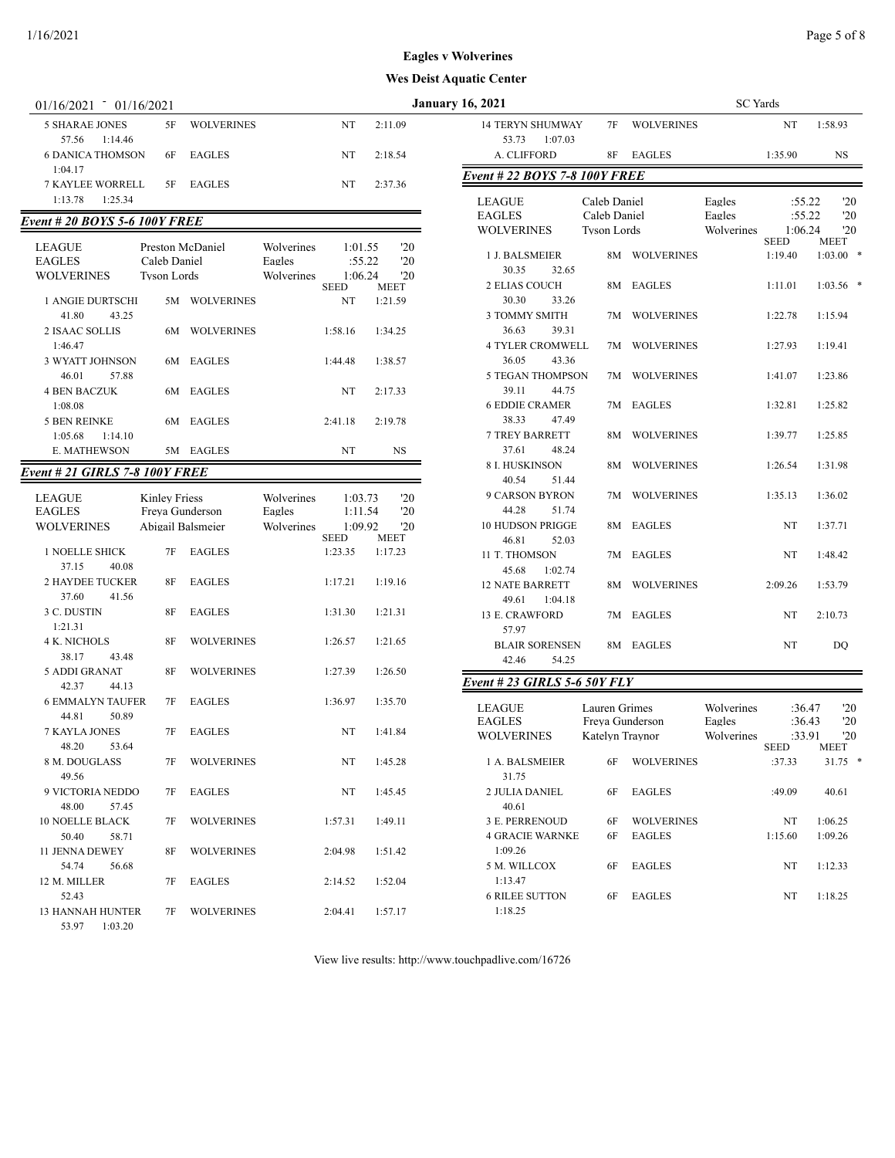| $01/16/2021 - 01/16/2021$                 |                      |                   |                      |                    |                        | <b>January 16, 2021</b>                     |                    |                   | <b>SC</b> Yards      |                          |                    |
|-------------------------------------------|----------------------|-------------------|----------------------|--------------------|------------------------|---------------------------------------------|--------------------|-------------------|----------------------|--------------------------|--------------------|
| <b>5 SHARAE JONES</b><br>57.56<br>1:14.46 | 5F                   | <b>WOLVERINES</b> |                      | NT                 | 2:11.09                | <b>14 TERYN SHUMWAY</b><br>53.73<br>1:07.03 | 7F                 | <b>WOLVERINES</b> |                      | NT                       | 1:58.93            |
| <b>6 DANICA THOMSON</b>                   | 6F                   | <b>EAGLES</b>     |                      | NT                 | 2:18.54                | A. CLIFFORD                                 | 8F                 | EAGLES            |                      | 1:35.90                  | <b>NS</b>          |
| 1:04.17<br><b>7 KAYLEE WORRELL</b>        | 5F                   | <b>EAGLES</b>     |                      | NT                 | 2:37.36                | Event # 22 BOYS 7-8 100Y FREE               |                    |                   |                      |                          |                    |
| 1:13.78<br>1:25.34                        |                      |                   |                      |                    |                        | LEAGUE                                      | Caleb Daniel       |                   | Eagles               | :55.22                   | '20                |
| Event # 20 BOYS 5-6 100Y FREE             |                      |                   |                      |                    |                        | <b>EAGLES</b>                               | Caleb Daniel       |                   | Eagles               | :55.22                   | '20                |
|                                           |                      |                   |                      |                    |                        | <b>WOLVERINES</b>                           | <b>Tyson Lords</b> |                   | Wolverines           | 1:06.24<br><b>SEED</b>   | '20<br>MEET        |
| <b>LEAGUE</b><br><b>EAGLES</b>            | Caleb Daniel         | Preston McDaniel  | Wolverines<br>Eagles | 1:01.55<br>:55.22  | '20<br>'20             | 1 J. BALSMEIER                              |                    | 8M WOLVERINES     |                      | 1:19.40                  | $1:03.00$ *        |
| <b>WOLVERINES</b>                         | <b>Tyson Lords</b>   |                   | Wolverines           | 1:06.24            | '20                    | 30.35<br>32.65<br>2 ELIAS COUCH             |                    | 8M EAGLES         |                      | 1:11.01                  | $1:03.56$ *        |
| 1 ANGIE DURTSCHI                          |                      | 5M WOLVERINES     |                      | <b>SEED</b><br>NT  | <b>MEET</b><br>1:21.59 | 30.30<br>33.26                              |                    |                   |                      |                          |                    |
| 41.80<br>43.25<br>2 ISAAC SOLLIS          |                      | 6M WOLVERINES     |                      | 1:58.16            | 1:34.25                | 3 TOMMY SMITH<br>36.63<br>39.31             |                    | 7M WOLVERINES     |                      | 1:22.78                  | 1:15.94            |
| 1:46.47                                   |                      |                   |                      |                    |                        | <b>4 TYLER CROMWELL</b>                     |                    | 7M WOLVERINES     |                      | 1:27.93                  | 1:19.41            |
| 3 WYATT JOHNSON                           |                      | 6M EAGLES         |                      | 1:44.48            | 1:38.57                | 36.05<br>43.36                              |                    |                   |                      |                          |                    |
| 46.01<br>57.88                            |                      |                   |                      |                    |                        | <b>5 TEGAN THOMPSON</b>                     |                    | 7M WOLVERINES     |                      | 1:41.07                  | 1:23.86            |
| <b>4 BEN BACZUK</b><br>1:08.08            |                      | 6M EAGLES         |                      | NT                 | 2:17.33                | 39.11<br>44.75<br><b>6 EDDIE CRAMER</b>     |                    | 7M EAGLES         |                      | 1:32.81                  | 1:25.82            |
| <b>5 BEN REINKE</b>                       |                      | 6M EAGLES         |                      | 2:41.18            | 2:19.78                | 38.33<br>47.49                              |                    |                   |                      |                          |                    |
| 1:05.68<br>1:14.10                        |                      |                   |                      |                    |                        | <b>7 TREY BARRETT</b>                       |                    | 8M WOLVERINES     |                      | 1:39.77                  | 1:25.85            |
| E. MATHEWSON                              |                      | 5M EAGLES         |                      | NT                 | <b>NS</b>              | 37.61<br>48.24                              |                    |                   |                      |                          |                    |
| <b>Event # 21 GIRLS 7-8 100Y FREE</b>     |                      |                   |                      |                    |                        | 8 I. HUSKINSON                              |                    | 8M WOLVERINES     |                      | 1:26.54                  | 1:31.98            |
|                                           |                      |                   |                      |                    |                        | 40.54<br>51.44                              |                    |                   |                      |                          |                    |
| <b>LEAGUE</b><br><b>EAGLES</b>            | <b>Kinley Friess</b> | Freya Gunderson   | Wolverines<br>Eagles | 1:03.73<br>1:11.54 | '20<br>'20             | 9 CARSON BYRON<br>44.28<br>51.74            |                    | 7M WOLVERINES     |                      | 1:35.13                  | 1:36.02            |
| <b>WOLVERINES</b>                         |                      | Abigail Balsmeier | Wolverines           | 1:09.92            | '20                    | <b>10 HUDSON PRIGGE</b>                     |                    | 8M EAGLES         |                      | NT                       | 1:37.71            |
|                                           |                      |                   |                      | <b>SEED</b>        | MEET                   | 46.81<br>52.03                              |                    |                   |                      |                          |                    |
| 1 NOELLE SHICK<br>37.15<br>40.08          |                      | 7F EAGLES         |                      | 1:23.35            | 1:17.23                | 11 T. THOMSON<br>45.68<br>1:02.74           |                    | 7M EAGLES         |                      | NT                       | 1:48.42            |
| <b>2 HAYDEE TUCKER</b>                    | 8F                   | <b>EAGLES</b>     |                      | 1:17.21            | 1:19.16                | <b>12 NATE BARRETT</b>                      |                    | 8M WOLVERINES     |                      | 2:09.26                  | 1:53.79            |
| 37.60<br>41.56<br>3 C. DUSTIN             | <b>8F</b>            | <b>EAGLES</b>     |                      | 1:31.30            | 1:21.31                | 49.61<br>1:04.18                            |                    |                   |                      |                          |                    |
| 1:21.31                                   |                      |                   |                      |                    |                        | 13 E. CRAWFORD<br>57.97                     |                    | 7M EAGLES         |                      | NT                       | 2:10.73            |
| <b>4 K. NICHOLS</b>                       | <b>8F</b>            | <b>WOLVERINES</b> |                      | 1:26.57            | 1:21.65                | <b>BLAIR SORENSEN</b>                       |                    | 8M EAGLES         |                      | NT                       | DO                 |
| 38.17<br>43.48                            |                      |                   |                      |                    |                        | 54.25<br>42.46                              |                    |                   |                      |                          |                    |
| 5 ADDI GRANAT<br>42.37<br>44.13           | 8F                   | <b>WOLVERINES</b> |                      | 1:27.39            | 1:26.50                | Event # 23 GIRLS 5-6 50Y FLY                |                    |                   |                      |                          |                    |
| <b>6 EMMALYN TAUFER</b><br>44.81<br>50.89 | 7F                   | <b>EAGLES</b>     |                      | 1:36.97            | 1:35.70                | LEAGUE                                      | Lauren Grimes      |                   | Wolverines           | :36.47                   | '20                |
| 7 KAYLA JONES<br>48.20 53.64              | 7F                   | EAGLES            |                      | NT                 | 1:41.84                | <b>EAGLES</b><br><b>WOLVERINES</b>          | Katelyn Traynor    | Freya Gunderson   | Eagles<br>Wolverines | :36.43<br>:33.91<br>SEED | '20<br>'20<br>MEET |
| 8 M. DOUGLASS<br>49.56                    | 7F                   | <b>WOLVERINES</b> |                      | NT                 | 1:45.28                | 1 A. BALSMEIER<br>31.75                     | 6F                 | <b>WOLVERINES</b> |                      | :37.33                   | $31.75$ *          |
| 9 VICTORIA NEDDO<br>48.00<br>57.45        | 7F                   | EAGLES            |                      | NT                 | 1:45.45                | 2 JULIA DANIEL<br>40.61                     | 6F                 | EAGLES            |                      | :49.09                   | 40.61              |
| <b>10 NOELLE BLACK</b>                    | 7F                   | <b>WOLVERINES</b> |                      | 1:57.31            | 1:49.11                | 3 E. PERRENOUD                              | 6F                 | <b>WOLVERINES</b> |                      | NT                       | 1:06.25            |
| 50.40<br>58.71                            |                      |                   |                      |                    |                        | <b>4 GRACIE WARNKE</b>                      | 6F                 | EAGLES            |                      | 1:15.60                  | 1:09.26            |
| 11 JENNA DEWEY<br>54.74<br>56.68          | 8F                   | <b>WOLVERINES</b> |                      | 2:04.98            | 1:51.42                | 1:09.26<br>5 M. WILLCOX                     | 6F                 | EAGLES            |                      | NT                       | 1:12.33            |
| 12 M. MILLER                              | 7F                   | EAGLES            |                      | 2:14.52            | 1:52.04                | 1:13.47                                     |                    |                   |                      |                          |                    |
| 52.43                                     |                      |                   |                      |                    |                        | <b>6 RILEE SUTTON</b>                       |                    | 6F EAGLES         |                      | NT                       | 1:18.25            |
| <b>13 HANNAH HUNTER</b><br>53.97 1:03.20  | 7F                   | <b>WOLVERINES</b> |                      | 2:04.41            | 1:57.17                | 1:18.25                                     |                    |                   |                      |                          |                    |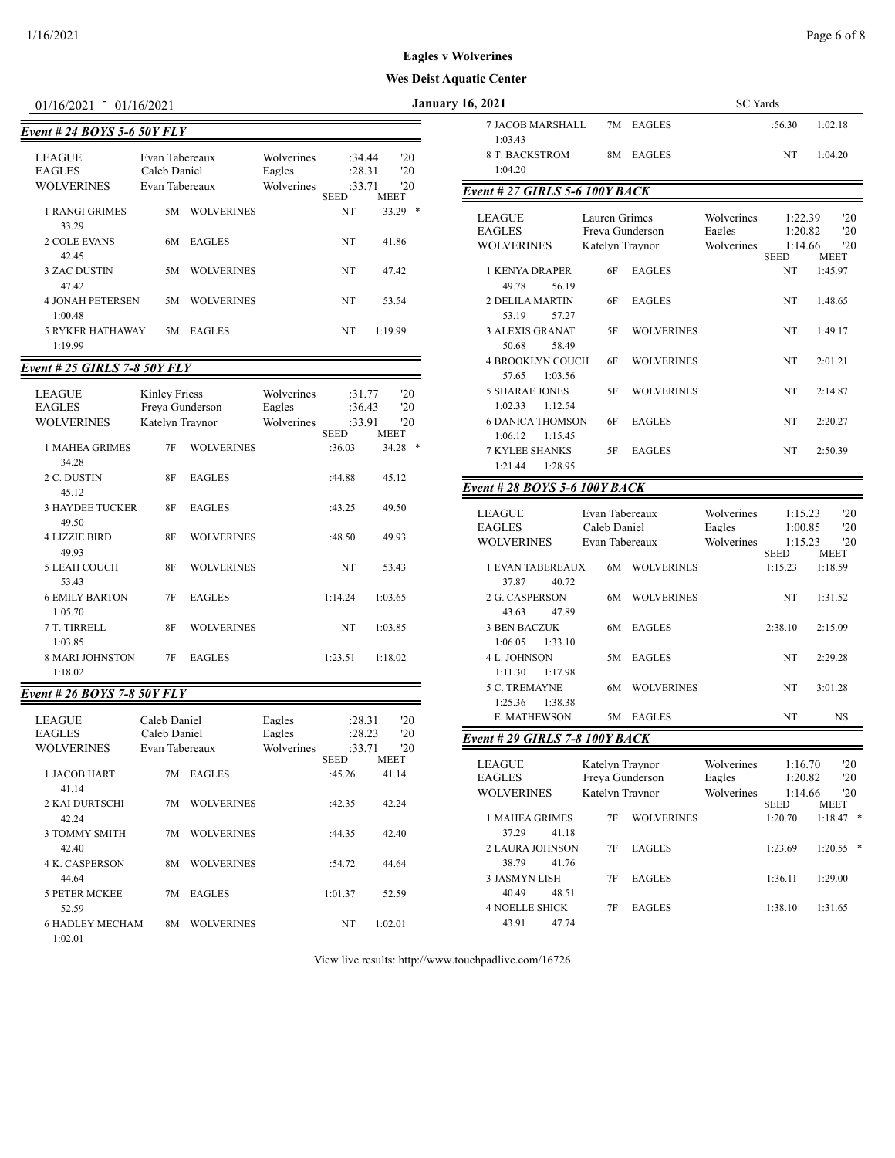| $01/16/2021 = 01/16/2021$                           |                                                  |                   |                                    |                            | Jа.                |
|-----------------------------------------------------|--------------------------------------------------|-------------------|------------------------------------|----------------------------|--------------------|
| Event # 24 BOYS 5-6 50Y FLY                         |                                                  |                   |                                    |                            |                    |
| <b>LEAGUE</b><br><b>EAGLES</b><br><b>WOLVERINES</b> | Evan Tabereaux<br>Caleb Daniel<br>Evan Tabereaux |                   | Wolverines<br>Eagles<br>Wolverines | :34.44<br>:28.31<br>:33.71 | '20<br>'20<br>20   |
| 1 RANGI GRIMES<br>33.29                             | 5M                                               | <b>WOLVERINES</b> |                                    | <b>SEED</b><br>NT          | MEET<br>33.29<br>* |
| <b>2 COLE EVANS</b><br>42.45                        | 6M                                               | <b>EAGLES</b>     |                                    | NT                         | 41.86              |
| <b>3 ZAC DUSTIN</b><br>4742                         | 5M                                               | <b>WOLVERINES</b> |                                    | NT                         | 47.42              |
| <b>4 JONAH PETERSEN</b><br>1:00.48                  | 5M                                               | <b>WOLVERINES</b> |                                    | NT                         | 53.54              |
| <b>5 RYKER HATHAWAY</b><br>1:19.99                  | 5M                                               | <b>EAGLES</b>     |                                    | NT                         | 1:19.99            |

## *Event # 25 GIRLS 7-8 50Y FLY*

| <b>LEAGUE</b><br><b>EAGLES</b><br><b>WOLVERINES</b> | Kinley Friess<br>Freva Gunderson<br>Katelyn Traynor |                   | Wolverines<br>Eagles<br>Wolverines | :31.77<br>:36.43<br>:33.91<br><b>SEED</b> | '20<br>'20<br>'20<br><b>MEET</b> |
|-----------------------------------------------------|-----------------------------------------------------|-------------------|------------------------------------|-------------------------------------------|----------------------------------|
| 1 MAHEA GRIMES                                      | 7F                                                  | <b>WOLVERINES</b> |                                    | :36.03                                    | ∗<br>34.28                       |
| 34.28<br>2 C. DUSTIN                                | 8F                                                  | <b>EAGLES</b>     |                                    | :44.88                                    | 45.12                            |
| 45.12<br><b>3 HAYDEE TUCKER</b>                     | 8F                                                  | <b>EAGLES</b>     |                                    | :43.25                                    | 49.50                            |
| 49.50<br><b>4 LIZZIE BIRD</b>                       | 8F                                                  | <b>WOLVERINES</b> |                                    | :48.50                                    | 49.93                            |
| 49.93<br><b>5 LEAH COUCH</b>                        | 8F                                                  | <b>WOLVERINES</b> |                                    | NT                                        | 53.43                            |
| 53.43<br><b>6 EMILY BARTON</b>                      | 7F                                                  | <b>EAGLES</b>     |                                    | 1:14.24                                   | 1:03.65                          |
| 1:05.70<br>7 T. TIRRELL                             | 8F                                                  | <b>WOLVERINES</b> |                                    | <b>NT</b>                                 | 1:03.85                          |
| 1:03.85<br><b>8 MARI JOHNSTON</b>                   | 7F                                                  | <b>EAGLES</b>     |                                    | 1:23.51                                   | 1:18.02                          |
| 1:18.02                                             |                                                     |                   |                                    |                                           |                                  |

## *Event # 26 BOYS 7-8 50Y FLY*

| <b>LEAGUE</b><br><b>EAGLES</b> | Caleb Daniel<br>Caleb Daniel |                   | Eagles<br>Eagles | :28.31<br>:28.23      | 20<br>'20         |  |
|--------------------------------|------------------------------|-------------------|------------------|-----------------------|-------------------|--|
| <b>WOLVERINES</b>              | Evan Tabereaux               |                   | Wolverines       | :33.71<br><b>SEED</b> | 20<br><b>MEET</b> |  |
| 1 JACOB HART<br>41.14          | 7M                           | <b>EAGLES</b>     |                  | :45.26                | 41.14             |  |
| 2 KAI DURTSCHI                 | 7M                           | <b>WOLVERINES</b> |                  | :42.35                | 42.24             |  |
| 42.24                          |                              |                   |                  |                       |                   |  |
| 3 TOMMY SMITH                  | 7M                           | <b>WOLVERINES</b> |                  | :44.35                | 42.40             |  |
| 42.40                          |                              |                   |                  |                       |                   |  |
| <b>4 K. CASPERSON</b>          | 8M                           | <b>WOLVERINES</b> |                  | :54.72                | 44.64             |  |
| 44.64                          |                              |                   |                  |                       |                   |  |
| <b>5 PETER MCKEE</b><br>52.59  | 7M                           | <b>EAGLES</b>     |                  | 1:01.37               | 52.59             |  |
|                                |                              |                   |                  |                       |                   |  |
| <b>6 HADLEY MECHAM</b>         | 8M                           | <b>WOLVERINES</b> |                  | NT                    | 1:02.01           |  |
| 1:02.01                        |                              |                   |                  |                       |                   |  |

| 01/16/2021                                                     | 01/16/2021                       |                            |                      |                       |                    |            | <b>January 16, 2021</b>                             |         |                                                     |                   | <b>SC</b> Yards                    |                                              |                                  |
|----------------------------------------------------------------|----------------------------------|----------------------------|----------------------|-----------------------|--------------------|------------|-----------------------------------------------------|---------|-----------------------------------------------------|-------------------|------------------------------------|----------------------------------------------|----------------------------------|
| ent # 24 BOYS 5-6 50Y FLY                                      |                                  |                            |                      |                       |                    |            | <b>7 JACOB MARSHALL</b><br>1:03.43                  |         |                                                     | 7M EAGLES         |                                    | :56.30                                       | 1:02.18                          |
| LEAGUE<br><b>EAGLES</b>                                        | Evan Tabereaux<br>Caleb Daniel   |                            | Wolverines<br>Eagles | :34.44<br>: 28.31     |                    | '20<br>'20 | <b>8 T. BACKSTROM</b><br>1:04.20                    |         |                                                     | 8M EAGLES         |                                    | <b>NT</b>                                    | 1:04.20                          |
| WOLVERINES                                                     | Evan Tabereaux                   |                            | Wolverines           | :33.71<br><b>SEED</b> | <b>MEET</b>        | '20        | <b>Event #27 GIRLS 5-6 100Y BACK</b>                |         |                                                     |                   |                                    |                                              |                                  |
| <b>1 RANGI GRIMES</b><br>33.29<br><b>2 COLE EVANS</b><br>42.45 |                                  | 5M WOLVERINES<br>6M EAGLES |                      | NT<br>NT              | $33.29$ *<br>41.86 |            | <b>LEAGUE</b><br><b>EAGLES</b><br><b>WOLVERINES</b> |         | Lauren Grimes<br>Freva Gunderson<br>Katelyn Traynor |                   | Wolverines<br>Eagles<br>Wolverines | 1:22.39<br>1:20.82<br>1:14.66<br><b>SEED</b> | '20<br>'20<br>'20<br><b>MEET</b> |
| <b>3 ZAC DUSTIN</b><br>47.42                                   | 5M                               | <b>WOLVERINES</b>          |                      | NT                    | 47.42              |            | <b>1 KENYA DRAPER</b><br>49.78                      | 56.19   | 6F                                                  | <b>EAGLES</b>     |                                    | NT                                           | 1:45.97                          |
| <b>4 JONAH PETERSEN</b><br>1:00.48                             | 5M                               | <b>WOLVERINES</b>          |                      | NT                    | 53.54              |            | <b>2 DELILA MARTIN</b><br>53.19                     | 57.27   | 6F                                                  | <b>EAGLES</b>     |                                    | NT                                           | 1:48.65                          |
| <b>5 RYKER HATHAWAY</b><br>1:19.99                             |                                  | 5M EAGLES                  |                      | NT                    | 1:19.99            |            | <b>3 ALEXIS GRANAT</b><br>50.68                     | 58.49   | 5F                                                  | <b>WOLVERINES</b> |                                    | NT                                           | 1:49.17                          |
| ent # 25 GIRLS 7-8 50Y FLY                                     |                                  |                            |                      |                       |                    |            | <b>4 BROOKLYN COUCH</b><br>57.65                    | 1:03.56 | 6F                                                  | <b>WOLVERINES</b> |                                    | <b>NT</b>                                    | 2:01.21                          |
| LEAGUE<br><b>EAGLES</b>                                        | Kinley Friess<br>Freva Gunderson |                            | Wolverines<br>Eagles | :31.77<br>:36.43      |                    | '20<br>'20 | <b>5 SHARAE JONES</b><br>1:02.33                    | 1:12.54 | 5F                                                  | <b>WOLVERINES</b> |                                    | NT                                           | 2:14.87                          |
| WOLVERINES                                                     | Katelyn Traynor                  |                            | Wolverines           | :33.91<br><b>SEED</b> | <b>MEET</b>        | '20        | <b>6 DANICA THOMSON</b><br>1:06.12                  | 1:15.45 | 6F                                                  | <b>EAGLES</b>     |                                    | NT                                           | 2:20.27                          |
| 1 MAHEA GRIMES<br>34.28                                        | 7F                               | <b>WOLVERINES</b>          |                      | :36.03                | $34.28$ *          |            | <b>7 KYLEE SHANKS</b><br>1:21.44                    | 1:28.95 | 5F                                                  | <b>EAGLES</b>     |                                    | NT                                           | 2:50.39                          |
| 2 C. DUSTIN<br>45.12                                           | 8F                               | <b>EAGLES</b>              |                      | :44.88                | 45.12              |            | Event # 28 BOYS 5-6 100Y BACK                       |         |                                                     |                   |                                    |                                              |                                  |

| <b>LEAGUE</b><br><b>EAGLES</b><br><b>WOLVERINES</b>          | Evan Tabereaux<br>Caleb Daniel<br>Evan Tabereaux |                   | Wolverines<br>Eagles<br>Wolverines | 1:15.23<br>1:00.85<br>1:15.23 | '20<br>'20<br>20       |
|--------------------------------------------------------------|--------------------------------------------------|-------------------|------------------------------------|-------------------------------|------------------------|
| 1 EVAN TAREREAUX                                             | 6М                                               | <b>WOLVERINES</b> |                                    | <b>SEED</b><br>1:15.23        | <b>MEET</b><br>1:18.59 |
| 37.87<br>40.72<br>2 G. CASPERSON                             | 6М                                               | <b>WOLVERINES</b> |                                    | NT                            | 1:31.52                |
| 47.89<br>43.63<br><b>3 BEN BACZUK</b>                        | 6М                                               | <b>EAGLES</b>     |                                    | 2:38.10                       | 2:15.09                |
| 1:33.10<br>1:06.05<br><b>4 L. JOHNSON</b>                    | 5M                                               | <b>EAGLES</b>     |                                    | <b>NT</b>                     | 2:29.28                |
| 1:17.98<br>1:11.30                                           |                                                  |                   |                                    |                               |                        |
| <b>5 C. TREMAYNE</b><br>1:38.38<br>1:25.36                   | 6М                                               | <b>WOLVERINES</b> |                                    | <b>NT</b>                     | 3:01.28                |
| <b>E. MATHEWSON</b><br><b>Event # 29 GIRLS 7-8 100Y BACK</b> | 5M                                               | <b>EAGLES</b>     |                                    | NT                            | <b>NS</b>              |
|                                                              |                                                  |                   |                                    |                               |                        |

| LEAGUE<br><b>EAGLES</b> |                       |    | Katelyn Traynor<br>Freva Gunderson | Wolverines<br>Eagles | 1:16.70<br>1:20.82     | '20<br>'20         |   |
|-------------------------|-----------------------|----|------------------------------------|----------------------|------------------------|--------------------|---|
|                         | <b>WOLVERINES</b>     |    | Katelyn Traynor                    | Wolverines           | 1:14.66<br><b>SEED</b> | '20<br><b>MEET</b> |   |
|                         | 1 MAHEA GRIMES        | 7F | <b>WOLVERINES</b>                  |                      | 1:20.70                | 1:18.47            | ∗ |
|                         | 37.29<br>41.18        |    |                                    |                      |                        |                    |   |
|                         | 2 LAURA JOHNSON       | 7F | <b>EAGLES</b>                      |                      | 1:23.69                | 1:20.55            | ∗ |
|                         | 38.79<br>41.76        |    |                                    |                      |                        |                    |   |
|                         | 3 JASMYN LISH         | 7F | <b>EAGLES</b>                      |                      | 1:36.11                | 1:29.00            |   |
|                         | 48.51<br>40.49        |    |                                    |                      |                        |                    |   |
|                         | <b>4 NOELLE SHICK</b> | 7F | <b>EAGLES</b>                      |                      | 1:38.10                | 1:31.65            |   |
|                         | 43.91<br>47.74        |    |                                    |                      |                        |                    |   |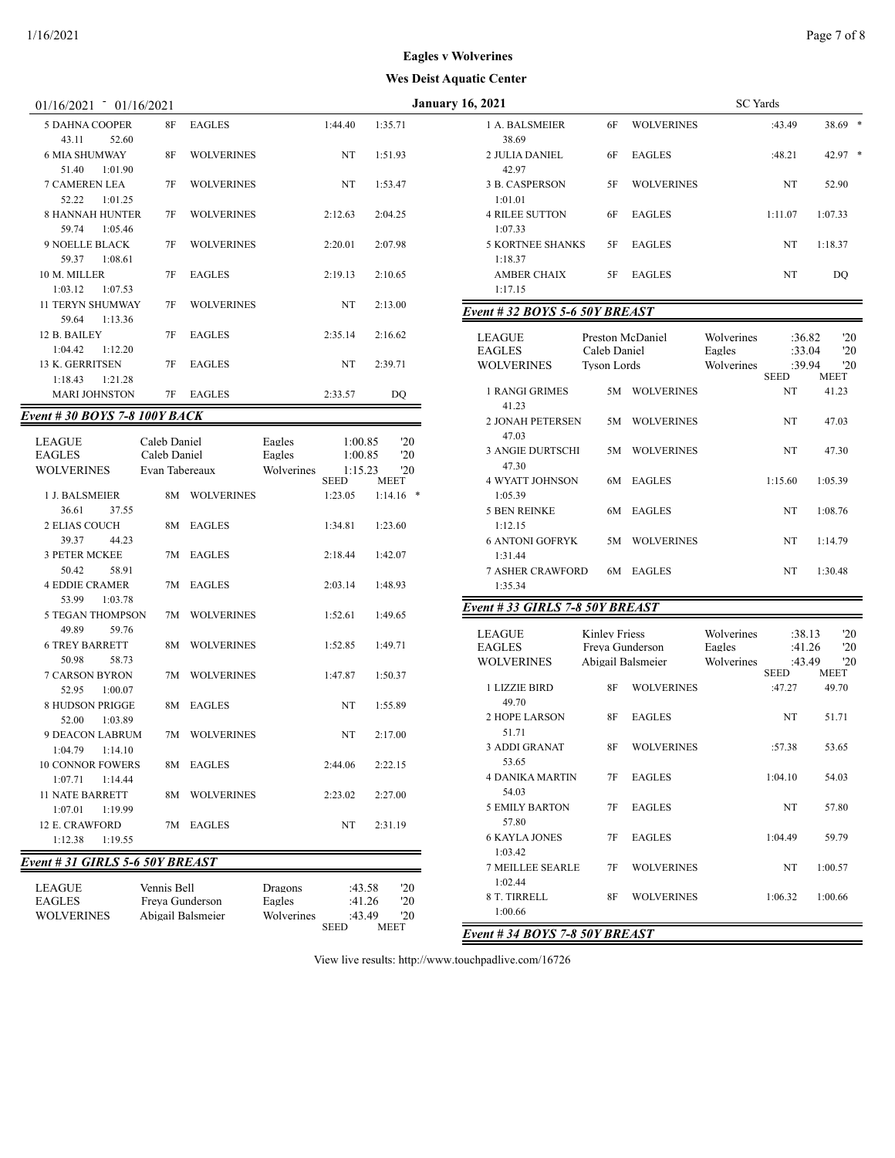| 01/16/2021<br>01/16/2021                    |    |                   |         |         | <b>January 16, 2021</b>                                                                    | <b>SC</b> Yards |
|---------------------------------------------|----|-------------------|---------|---------|--------------------------------------------------------------------------------------------|-----------------|
| <b>5 DAHNA COOPER</b><br>43.11<br>52.60     | 8F | <b>EAGLES</b>     | 1:44.40 | 1:35.71 | <b>WOLVERINES</b><br>1 A. BALSMEIER<br>6F<br>38.69                                         | :4              |
| <b>6 MIA SHUMWAY</b><br>51.40<br>1:01.90    | 8F | <b>WOLVERINES</b> | NT      | 1:51.93 | 2 JULIA DANIEL<br>EAGLES<br>6F<br>42.97                                                    | :4              |
| <b>7 CAMEREN LEA</b><br>52.22<br>1:01.25    | 7F | <b>WOLVERINES</b> | NT      | 1:53.47 | 3 B. CASPERSON<br><b>WOLVERINES</b><br>5F<br>1:01.01                                       |                 |
| <b>8 HANNAH HUNTER</b><br>59.74<br>1:05.46  | 7F | <b>WOLVERINES</b> | 2:12.63 | 2:04.25 | <b>4 RILEE SUTTON</b><br><b>EAGLES</b><br>6F<br>1:07.33                                    | 1:1             |
| <b>9 NOELLE BLACK</b><br>59.37<br>1:08.61   | 7F | <b>WOLVERINES</b> | 2:20.01 | 2:07.98 | <b>5 KORTNEE SHANKS</b><br><b>EAGLES</b><br>5F<br>1:18.37                                  |                 |
| 10 M. MILLER<br>1:03.12<br>1:07.53          | 7F | EAGLES            | 2:19.13 | 2:10.65 | <b>AMBER CHAIX</b><br>5F<br>EAGLES<br>1:17.15                                              |                 |
| <b>11 TERYN SHUMWAY</b><br>59.64<br>1:13.36 | 7F | <b>WOLVERINES</b> | NT      | 2:13.00 | Event # 32 BOYS 5-6 50Y BREAST                                                             |                 |
| 12 B. BAILEY<br>1:04.42<br>1:12.20          | 7F | <b>EAGLES</b>     | 2:35.14 | 2:16.62 | Wolverines<br><b>LEAGUE</b><br>Preston McDaniel<br><b>EAGLES</b><br>Caleb Daniel<br>Eagles |                 |
| 13 K. GERRITSEN<br>1:18.43<br>1:21.28       | 7F | <b>EAGLES</b>     | NT      | 2:39.71 | Wolverines<br><b>WOLVERINES</b><br><b>Tyson Lords</b>                                      | <b>SEI</b>      |
| <b>MARI JOHNSTON</b>                        | 7F | EAGLES            | 2:33.57 | DQ      | 1 RANGI GRIMES<br><b>WOLVERINES</b><br>5M<br>41.23                                         |                 |
| Event # 30 BOYS 7-8 100Y BACK               |    |                   |         |         | <b>2 JONAH PETERSEN</b><br>5M WOLVERINES                                                   |                 |
|                                             |    |                   |         |         |                                                                                            |                 |

| <b>LEAGUE</b>                   | Caleb Daniel                   |                   | Eagles            | 1:00.85                | '20                |
|---------------------------------|--------------------------------|-------------------|-------------------|------------------------|--------------------|
| <b>EAGLES</b>                   | Caleb Daniel                   |                   | Eagles            | 1:00.85                | '20                |
| <b>WOLVERINES</b>               | Evan Tabereaux                 |                   | Wolverines        | 1:15.23<br><b>SEED</b> | '20<br><b>MEET</b> |
| 1 J. BALSMEIER                  | 8M                             | <b>WOLVERINES</b> |                   | 1:23.05                | 1:14.16<br>∗       |
| 36.61<br>37.55                  |                                |                   |                   |                        |                    |
| <b>2 ELIAS COUCH</b>            | 8M                             | <b>EAGLES</b>     |                   | 1:34.81                | 1:23.60            |
| 39.37<br>44.23                  |                                |                   |                   |                        |                    |
| <b>3 PETER MCKEE</b>            | 7M                             | <b>EAGLES</b>     |                   | 2:18.44                | 1:42.07            |
| 50.42<br>58.91                  |                                |                   |                   |                        |                    |
| <b>4 EDDIE CRAMER</b>           | 7M                             | <b>EAGLES</b>     |                   | 2:03.14                | 1:48.93            |
| 53.99<br>1:03.78                |                                |                   |                   |                        |                    |
| <b>5 TEGAN THOMPSON</b>         | 7M                             | <b>WOLVERINES</b> |                   | 1:52.61                | 1:49.65            |
| 49.89<br>59.76                  |                                |                   |                   |                        |                    |
| <b>6 TREY BARRETT</b>           | 8M                             | <b>WOLVERINES</b> |                   | 1:52.85                | 1:49.71            |
| 50.98<br>58.73                  |                                |                   |                   |                        |                    |
| <b>7 CARSON BYRON</b>           | 7M                             | <b>WOLVERINES</b> |                   | 1:47.87                | 1:50.37            |
| 52.95<br>1:00.07                |                                |                   |                   |                        |                    |
| <b>8 HUDSON PRIGGE</b>          | 8M                             | <b>EAGLES</b>     |                   | NT                     | 1:55.89            |
| 52.00<br>1:03.89                |                                |                   |                   |                        |                    |
| <b>9 DEACON LABRUM</b>          | 7M                             | <b>WOLVERINES</b> |                   | NT                     | 2:17.00            |
| 1:04.79<br>1:14.10              |                                |                   |                   |                        |                    |
| <b>10 CONNOR FOWERS</b>         | 8M                             | <b>EAGLES</b>     |                   | 2:44.06                | 2:22.15            |
| 1:07.71<br>1:14.44              |                                |                   |                   |                        |                    |
| <b>11 NATE BARRETT</b>          | 8M                             | <b>WOLVERINES</b> |                   | 2:23.02                | 2:27.00            |
| 1:07.01<br>1:19.99              |                                |                   |                   |                        |                    |
| 12 E. CRAWFORD                  | 7M                             | <b>EAGLES</b>     |                   | NT                     | 2:31.19            |
| 1:12.38<br>1:19.55              |                                |                   |                   |                        |                    |
| Event # 31 GIRLS 5-6 50Y BREAST |                                |                   |                   |                        |                    |
|                                 |                                |                   |                   |                        | '20                |
| <b>LEAGUE</b><br><b>EAGLES</b>  | Vennis Bell<br>Freva Gunderson |                   | Dragons<br>Eagles | :43.58<br>:41.26       | '20                |
| <b>WOLVERINES</b>               | Abigail Balsmeier              |                   | Wolverines        | :43.49                 | '20                |
|                                 |                                |                   |                   |                        |                    |

WOLVERINES Abigail Balsmeier Wolverines :43.49 '20 SEED MEET

| 16, 2021                              |                                    |                   | <b>SC</b> Yards                    |                            |                   |
|---------------------------------------|------------------------------------|-------------------|------------------------------------|----------------------------|-------------------|
| 1 A. BALSMEIER<br>38.69               | 6F                                 | <b>WOLVERINES</b> |                                    | :43.49                     | 38.69             |
| 2 JULIA DANIEL<br>42.97               | 6F                                 | <b>EAGLES</b>     |                                    | :48.21                     | 42.97             |
| 3 B. CASPERSON<br>1:01.01             | 5F                                 | <b>WOLVERINES</b> |                                    | NT                         | 52.90             |
| <b>4 RILEE SUTTON</b><br>1:07.33      | 6F                                 | <b>EAGLES</b>     |                                    | 1:11.07                    | 1:07.33           |
| <b>5 KORTNEE SHANKS</b><br>1:18.37    | 5F                                 | <b>EAGLES</b>     |                                    | NT                         | 1:18.37           |
| <b>AMBER CHAIX</b><br>1:17.15         | 5F                                 | <b>EAGLES</b>     |                                    | NT                         | DQ                |
| Event # 32 BOYS 5-6 50Y BREAST        |                                    |                   |                                    |                            |                   |
| LEAGUE<br><b>EAGLES</b><br>WOLVERINES | Caleb Daniel<br><b>Tyson Lords</b> | Preston McDaniel  | Wolverines<br>Eagles<br>Wolverines | :36.82<br>:33.04<br>:39.94 | '20<br>'20<br>'20 |
|                                       |                                    |                   |                                    | SEED                       | MEET              |
| 1 RANGI GRIMES<br>41.23               | 5M                                 | <b>WOLVERINES</b> |                                    | NT                         | 41.23             |
| <b>2 JONAH PETERSEN</b><br>47.03      | 5M                                 | <b>WOLVERINES</b> |                                    | NT                         | 47.03             |
| <b>3 ANGIE DURTSCHI</b><br>47.30      | 5M                                 | <b>WOLVERINES</b> |                                    | NT                         | 47.30             |
| <b>4 WYATT JOHNSON</b><br>1:05.39     | 6M                                 | <b>EAGLES</b>     |                                    | 1:15.60                    | 1:05.39           |
| <b>5 BEN REINKE</b><br>1:12.15        | 6M                                 | <b>EAGLES</b>     |                                    | NT                         | 1:08.76           |
| <b>6 ANTONI GOFRYK</b><br>1:31.44     | 5M                                 | <b>WOLVERINES</b> |                                    | NT                         | 1:14.79           |
| <b>7 ASHER CRAWFORD</b><br>1:35.34    | 6M                                 | <b>EAGLES</b>     |                                    | NT                         | 1:30.48           |
| Event # 33 GIRLS 7-8 50Y BREAST       |                                    |                   |                                    |                            |                   |
| LEAGUE                                | <b>Kinley Friess</b>               |                   | Wolverines                         | :38.13                     | '20               |
| <b>EAGLES</b>                         |                                    | Freya Gunderson   | Eagles                             | :41.26                     | '20               |
| <b>WOLVERINES</b>                     |                                    | Abigail Balsmeier | Wolverines                         | :43.49<br><b>SEED</b>      | '20<br>MEET       |
| 1 LIZZIE BIRD<br>49.70                | 8F                                 | <b>WOLVERINES</b> |                                    | :47.27                     | 49.70             |
| 2 HOPE LARSON<br>51.71                | 8F                                 | <b>EAGLES</b>     |                                    | NT                         | 51.71             |
| 3 ADDI GRANAT<br>53.65                | 8F                                 | <b>WOLVERINES</b> |                                    | :57.38                     | 53.65             |
| <b>4 DANIKA MARTIN</b><br>54.03       | 7F                                 | <b>EAGLES</b>     |                                    | 1:04.10                    | 54.03             |
| <b>5 EMILY BARTON</b><br>57.80        | 7F                                 | <b>EAGLES</b>     |                                    | NT                         | 57.80             |
| <b>6 KAYLA JONES</b><br>1:03.42       | 7F                                 | <b>EAGLES</b>     |                                    | 1:04.49                    | 59.79             |
| <b>7 MEILLEE SEARLE</b><br>1:02.44    | 7F                                 | <b>WOLVERINES</b> |                                    | NT                         | 1:00.57           |
| 8 T. TIRRELL<br>1:00.66               | 8F                                 | <b>WOLVERINES</b> |                                    | 1:06.32                    | 1:00.66           |

*Event # 34 BOYS 7-8 50Y BREAST*